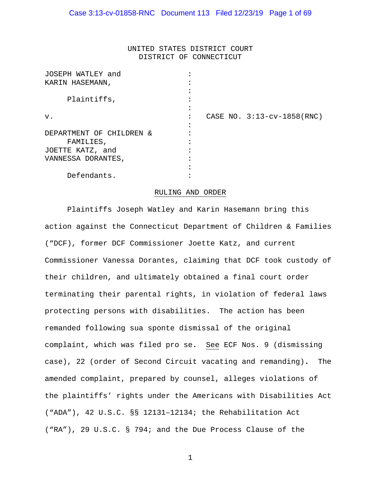## UNITED STATES DISTRICT COURT DISTRICT OF CONNECTICUT

| JOSEPH WATLEY and        |                              |
|--------------------------|------------------------------|
| KARIN HASEMANN,          |                              |
|                          |                              |
| Plaintiffs,              |                              |
|                          |                              |
| v.                       | CASE NO. $3:13-cv-1858(RNC)$ |
|                          |                              |
| DEPARTMENT OF CHILDREN & |                              |
| FAMILIES,                |                              |
| JOETTE KATZ, and         |                              |
| VANNESSA DORANTES,       |                              |
|                          |                              |
| Defendants.              |                              |

#### RULING AND ORDER

 Plaintiffs Joseph Watley and Karin Hasemann bring this action against the Connecticut Department of Children & Families ("DCF), former DCF Commissioner Joette Katz, and current Commissioner Vanessa Dorantes, claiming that DCF took custody of their children, and ultimately obtained a final court order terminating their parental rights, in violation of federal laws protecting persons with disabilities. The action has been remanded following sua sponte dismissal of the original complaint, which was filed pro se**.** See ECF Nos. 9 (dismissing case), 22 (order of Second Circuit vacating and remanding)**.** The amended complaint, prepared by counsel, alleges violations of the plaintiffs' rights under the Americans with Disabilities Act ("ADA"), 42 U.S.C. §§ 12131–12134; the Rehabilitation Act ("RA"), 29 U.S.C. § 794; and the Due Process Clause of the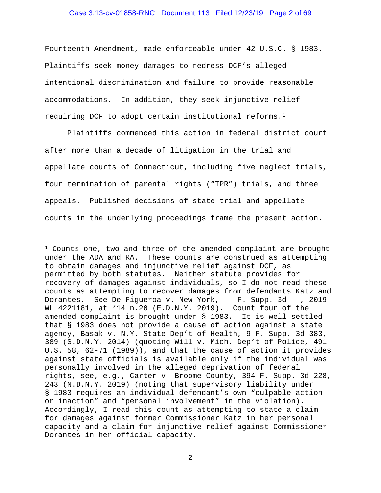### Case 3:13-cv-01858-RNC Document 113 Filed 12/23/19 Page 2 of 69

Fourteenth Amendment, made enforceable under 42 U.S.C. § 1983. Plaintiffs seek money damages to redress DCF's alleged intentional discrimination and failure to provide reasonable accommodations. In addition, they seek injunctive relief requiring DCF to adopt certain institutional reforms.[1](#page-1-0) 

Plaintiffs commenced this action in federal district court after more than a decade of litigation in the trial and appellate courts of Connecticut, including five neglect trials, four termination of parental rights ("TPR") trials, and three appeals. Published decisions of state trial and appellate courts in the underlying proceedings frame the present action.

<span id="page-1-0"></span><sup>&</sup>lt;sup>1</sup> Counts one, two and three of the amended complaint are brought under the ADA and RA. These counts are construed as attempting to obtain damages and injunctive relief against DCF, as permitted by both statutes. Neither statute provides for recovery of damages against individuals, so I do not read these counts as attempting to recover damages from defendants Katz and Dorantes. See De Figueroa v. New York, -- F. Supp. 3d --, 2019 WL 4221181, at \*14 n.20 (E.D.N.Y. 2019). Count four of the amended complaint is brought under § 1983. It is well-settled that § 1983 does not provide a cause of action against a state agency, Basak v. N.Y. State Dep't of Health, 9 F. Supp. 3d 383, 389 (S.D.N.Y. 2014) (quoting Will v. Mich. Dep't of Police, 491 U.S. 58, 62-71 (1989)), and that the cause of action it provides against state officials is available only if the individual was personally involved in the alleged deprivation of federal rights, see, e.g., Carter v. Broome County, 394 F. Supp. 3d 228, 243 (N.D.N.Y. 2019) (noting that supervisory liability under § 1983 requires an individual defendant's own "culpable action or inaction" and "personal involvement" in the violation). Accordingly, I read this count as attempting to state a claim for damages against former Commissioner Katz in her personal capacity and a claim for injunctive relief against Commissioner Dorantes in her official capacity.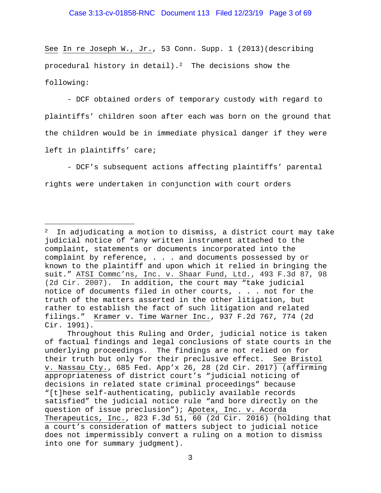See In re Joseph W., Jr., 53 Conn. Supp. 1 (2013)(describing procedural history in detail).<sup>2</sup> The decisions show the following:

- DCF obtained orders of temporary custody with regard to plaintiffs' children soon after each was born on the ground that the children would be in immediate physical danger if they were left in plaintiffs' care;

- DCF's subsequent actions affecting plaintiffs' parental rights were undertaken in conjunction with court orders

<span id="page-2-0"></span> $2$  In adjudicating a motion to dismiss, a district court may take judicial notice of "any written instrument attached to the complaint, statements or documents incorporated into the complaint by reference, . . . and documents possessed by or known to the plaintiff and upon which it relied in bringing the suit." ATSI Commc'ns, Inc. v. Shaar Fund, Ltd., 493 F.3d 87, 98 (2d Cir. 2007). In addition, the court may "take judicial notice of documents filed in other courts, . . . not for the truth of the matters asserted in the other litigation, but rather to establish the fact of such litigation and related filings." Kramer v. Time Warner Inc., 937 F.2d 767, 774 (2d Cir. 1991).

Throughout this Ruling and Order, judicial notice is taken of factual findings and legal conclusions of state courts in the underlying proceedings. The findings are not relied on for their truth but only for their preclusive effect. See Bristol v. Nassau Cty., 685 Fed. App'x 26, 28 (2d Cir. 2017) (affirming appropriateness of district court's "judicial noticing of decisions in related state criminal proceedings" because "[t]hese self-authenticating, publicly available records satisfied" the judicial notice rule "and bore directly on the question of issue preclusion"); Apotex, Inc. v. Acorda Therapeutics, Inc., 823 F.3d 51, 60 (2d Cir. 2016) (holding that a court's consideration of matters subject to judicial notice does not impermissibly convert a ruling on a motion to dismiss into one for summary judgment).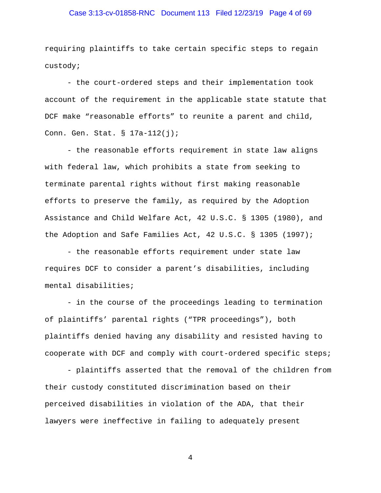## Case 3:13-cv-01858-RNC Document 113 Filed 12/23/19 Page 4 of 69

requiring plaintiffs to take certain specific steps to regain custody;

- the court-ordered steps and their implementation took account of the requirement in the applicable state statute that DCF make "reasonable efforts" to reunite a parent and child, Conn. Gen. Stat. § 17a-112(j);

- the reasonable efforts requirement in state law aligns with federal law, which prohibits a state from seeking to terminate parental rights without first making reasonable efforts to preserve the family, as required by the Adoption Assistance and Child Welfare Act, 42 U.S.C. § 1305 (1980), and the Adoption and Safe Families Act, 42 U.S.C. § 1305 (1997);

- the reasonable efforts requirement under state law requires DCF to consider a parent's disabilities, including mental disabilities;

- in the course of the proceedings leading to termination of plaintiffs' parental rights ("TPR proceedings"), both plaintiffs denied having any disability and resisted having to cooperate with DCF and comply with court-ordered specific steps;

- plaintiffs asserted that the removal of the children from their custody constituted discrimination based on their perceived disabilities in violation of the ADA, that their lawyers were ineffective in failing to adequately present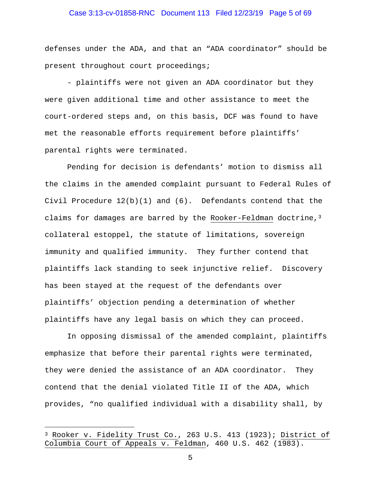## Case 3:13-cv-01858-RNC Document 113 Filed 12/23/19 Page 5 of 69

defenses under the ADA, and that an "ADA coordinator" should be present throughout court proceedings;

- plaintiffs were not given an ADA coordinator but they were given additional time and other assistance to meet the court-ordered steps and, on this basis, DCF was found to have met the reasonable efforts requirement before plaintiffs' parental rights were terminated.

 Pending for decision is defendants' motion to dismiss all the claims in the amended complaint pursuant to Federal Rules of Civil Procedure  $12(b)(1)$  and  $(6)$ . Defendants contend that the claims for damages are barred by the Rooker-Feldman doctrine,  $3$ collateral estoppel, the statute of limitations, sovereign immunity and qualified immunity. They further contend that plaintiffs lack standing to seek injunctive relief. Discovery has been stayed at the request of the defendants over plaintiffs' objection pending a determination of whether plaintiffs have any legal basis on which they can proceed.

In opposing dismissal of the amended complaint, plaintiffs emphasize that before their parental rights were terminated, they were denied the assistance of an ADA coordinator. They contend that the denial violated Title II of the ADA, which provides, "no qualified individual with a disability shall, by

<span id="page-4-0"></span><sup>&</sup>lt;sup>3</sup> Rooker v. Fidelity Trust Co., 263 U.S. 413 (1923); <u>District of</u> Columbia Court of Appeals v. Feldman, 460 U.S. 462 (1983).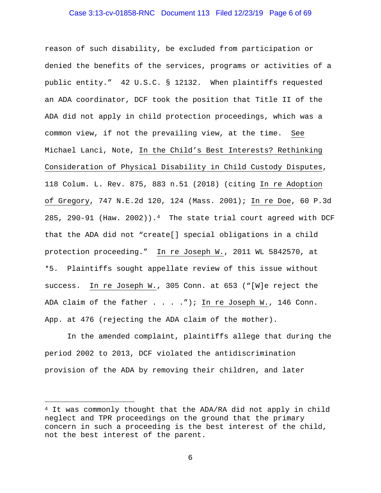### Case 3:13-cv-01858-RNC Document 113 Filed 12/23/19 Page 6 of 69

reason of such disability, be excluded from participation or denied the benefits of the services, programs or activities of a public entity." 42 U.S.C. § 12132. When plaintiffs requested an ADA coordinator, DCF took the position that Title II of the ADA did not apply in child protection proceedings, which was a common view, if not the prevailing view, at the time. See Michael Lanci, Note, In the Child's Best Interests? Rethinking Consideration of Physical Disability in Child Custody Disputes, 118 Colum. L. Rev. 875, 883 n.51 (2018) (citing In re Adoption of Gregory, 747 N.E.2d 120, 124 (Mass. 2001); In re Doe, 60 P.3d 285, 290-91 (Haw. 2002)).<sup>[4](#page-5-0)</sup> The state trial court agreed with DCF that the ADA did not "create[] special obligations in a child protection proceeding." In re Joseph W., 2011 WL 5842570, at \*5. Plaintiffs sought appellate review of this issue without success. In re Joseph W., 305 Conn. at 653 ("[W]e reject the ADA claim of the father . . . ."); In re Joseph W., 146 Conn. App. at 476 (rejecting the ADA claim of the mother).

In the amended complaint, plaintiffs allege that during the period 2002 to 2013, DCF violated the antidiscrimination provision of the ADA by removing their children, and later

Ĩ.

<span id="page-5-0"></span><sup>4</sup> It was commonly thought that the ADA/RA did not apply in child neglect and TPR proceedings on the ground that the primary concern in such a proceeding is the best interest of the child, not the best interest of the parent.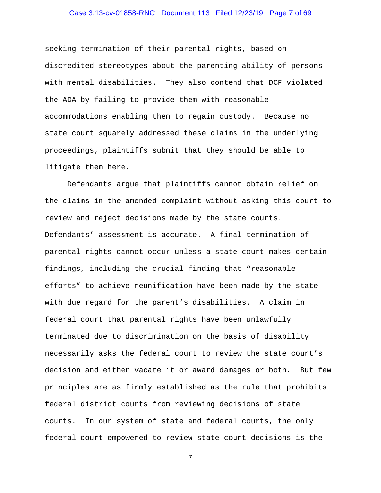## Case 3:13-cv-01858-RNC Document 113 Filed 12/23/19 Page 7 of 69

seeking termination of their parental rights, based on discredited stereotypes about the parenting ability of persons with mental disabilities. They also contend that DCF violated the ADA by failing to provide them with reasonable accommodations enabling them to regain custody. Because no state court squarely addressed these claims in the underlying proceedings, plaintiffs submit that they should be able to litigate them here.

Defendants argue that plaintiffs cannot obtain relief on the claims in the amended complaint without asking this court to review and reject decisions made by the state courts. Defendants' assessment is accurate. A final termination of parental rights cannot occur unless a state court makes certain findings, including the crucial finding that "reasonable efforts" to achieve reunification have been made by the state with due regard for the parent's disabilities. A claim in federal court that parental rights have been unlawfully terminated due to discrimination on the basis of disability necessarily asks the federal court to review the state court's decision and either vacate it or award damages or both. But few principles are as firmly established as the rule that prohibits federal district courts from reviewing decisions of state courts. In our system of state and federal courts, the only federal court empowered to review state court decisions is the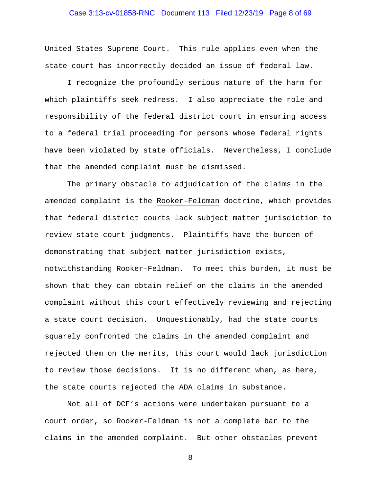## Case 3:13-cv-01858-RNC Document 113 Filed 12/23/19 Page 8 of 69

United States Supreme Court. This rule applies even when the state court has incorrectly decided an issue of federal law.

I recognize the profoundly serious nature of the harm for which plaintiffs seek redress. I also appreciate the role and responsibility of the federal district court in ensuring access to a federal trial proceeding for persons whose federal rights have been violated by state officials. Nevertheless, I conclude that the amended complaint must be dismissed.

The primary obstacle to adjudication of the claims in the amended complaint is the Rooker-Feldman doctrine, which provides that federal district courts lack subject matter jurisdiction to review state court judgments. Plaintiffs have the burden of demonstrating that subject matter jurisdiction exists, notwithstanding Rooker-Feldman. To meet this burden, it must be shown that they can obtain relief on the claims in the amended complaint without this court effectively reviewing and rejecting a state court decision. Unquestionably, had the state courts squarely confronted the claims in the amended complaint and rejected them on the merits, this court would lack jurisdiction to review those decisions. It is no different when, as here, the state courts rejected the ADA claims in substance.

Not all of DCF's actions were undertaken pursuant to a court order, so Rooker-Feldman is not a complete bar to the claims in the amended complaint. But other obstacles prevent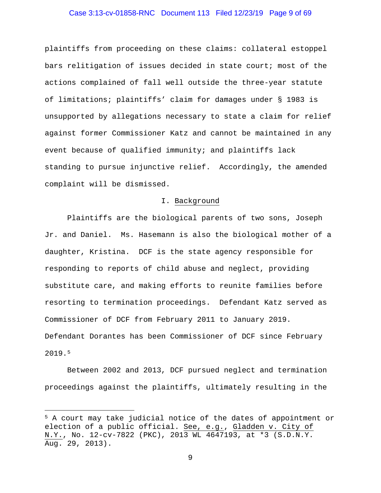## Case 3:13-cv-01858-RNC Document 113 Filed 12/23/19 Page 9 of 69

plaintiffs from proceeding on these claims: collateral estoppel bars relitigation of issues decided in state court; most of the actions complained of fall well outside the three-year statute of limitations; plaintiffs' claim for damages under § 1983 is unsupported by allegations necessary to state a claim for relief against former Commissioner Katz and cannot be maintained in any event because of qualified immunity; and plaintiffs lack standing to pursue injunctive relief. Accordingly, the amended complaint will be dismissed.

### I. Background

Plaintiffs are the biological parents of two sons, Joseph Jr. and Daniel. Ms. Hasemann is also the biological mother of a daughter, Kristina. DCF is the state agency responsible for responding to reports of child abuse and neglect, providing substitute care, and making efforts to reunite families before resorting to termination proceedings. Defendant Katz served as Commissioner of DCF from February 2011 to January 2019. Defendant Dorantes has been Commissioner of DCF since February 2019.[5](#page-8-0)

 Between 2002 and 2013, DCF pursued neglect and termination proceedings against the plaintiffs, ultimately resulting in the

<span id="page-8-0"></span>Ĩ. <sup>5</sup> A court may take judicial notice of the dates of appointment or election of a public official. See, e.g., Gladden v. City of N.Y., No. 12-cv-7822 (PKC), 2013 WL 4647193, at \*3 (S.D.N.Y. Aug. 29, 2013).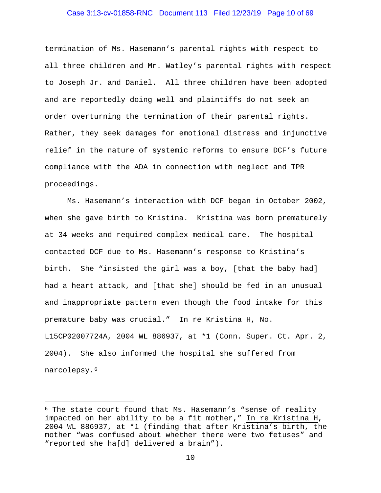### Case 3:13-cv-01858-RNC Document 113 Filed 12/23/19 Page 10 of 69

termination of Ms. Hasemann's parental rights with respect to all three children and Mr. Watley's parental rights with respect to Joseph Jr. and Daniel. All three children have been adopted and are reportedly doing well and plaintiffs do not seek an order overturning the termination of their parental rights. Rather, they seek damages for emotional distress and injunctive relief in the nature of systemic reforms to ensure DCF's future compliance with the ADA in connection with neglect and TPR proceedings.

Ms. Hasemann's interaction with DCF began in October 2002, when she gave birth to Kristina. Kristina was born prematurely at 34 weeks and required complex medical care. The hospital contacted DCF due to Ms. Hasemann's response to Kristina's birth. She "insisted the girl was a boy, [that the baby had] had a heart attack, and [that she] should be fed in an unusual and inappropriate pattern even though the food intake for this premature baby was crucial." In re Kristina H, No. L15CP02007724A, 2004 WL 886937, at \*1 (Conn. Super. Ct. Apr. 2, 2004). She also informed the hospital she suffered from narcolepsy.[6](#page-9-0)

<span id="page-9-0"></span> $6$  The state court found that Ms. Hasemann's "sense of reality impacted on her ability to be a fit mother," In re Kristina H, 2004 WL 886937, at \*1 (finding that after Kristina's birth, the mother "was confused about whether there were two fetuses" and "reported she ha[d] delivered a brain").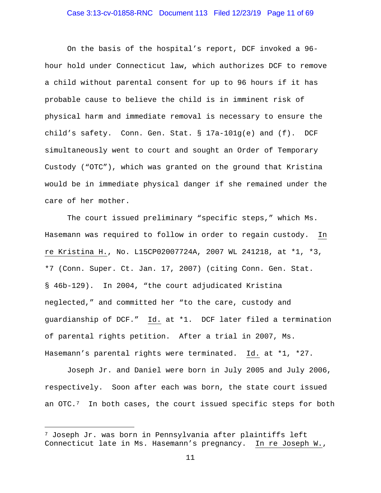## Case 3:13-cv-01858-RNC Document 113 Filed 12/23/19 Page 11 of 69

On the basis of the hospital's report, DCF invoked a 96 hour hold under Connecticut law, which authorizes DCF to remove a child without parental consent for up to 96 hours if it has probable cause to believe the child is in imminent risk of physical harm and immediate removal is necessary to ensure the child's safety. Conn. Gen. Stat. § 17a-101g(e) and (f). DCF simultaneously went to court and sought an Order of Temporary Custody ("OTC"), which was granted on the ground that Kristina would be in immediate physical danger if she remained under the care of her mother.

The court issued preliminary "specific steps," which Ms. Hasemann was required to follow in order to regain custody. In re Kristina H., No. L15CP02007724A, 2007 WL 241218, at \*1, \*3, \*7 (Conn. Super. Ct. Jan. 17, 2007) (citing Conn. Gen. Stat. § 46b-129). In 2004, "the court adjudicated Kristina neglected," and committed her "to the care, custody and guardianship of DCF." Id. at \*1. DCF later filed a termination of parental rights petition. After a trial in 2007, Ms. Hasemann's parental rights were terminated. Id. at \*1, \*27.

Joseph Jr. and Daniel were born in July 2005 and July 2006, respectively. Soon after each was born, the state court issued an OTC.<sup>7</sup> In both cases, the court issued specific steps for both

<span id="page-10-0"></span> $^7$  Joseph Jr. was born in Pennsylvania after plaintiffs left Connecticut late in Ms. Hasemann's pregnancy. In re Joseph W.,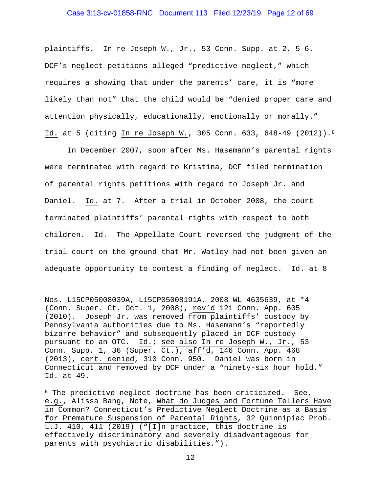plaintiffs. In re Joseph W., Jr., 53 Conn. Supp. at 2, 5-6. DCF's neglect petitions alleged "predictive neglect," which requires a showing that under the parents' care, it is "more likely than not" that the child would be "denied proper care and attention physically, educationally, emotionally or morally." Id. at 5 (citing In re Joseph W., 305 Conn. 633, 648-49 (2012)).[8](#page-11-0)

 In December 2007, soon after Ms. Hasemann's parental rights were terminated with regard to Kristina, DCF filed termination of parental rights petitions with regard to Joseph Jr. and Daniel. Id. at 7. After a trial in October 2008, the court terminated plaintiffs' parental rights with respect to both children. Id. The Appellate Court reversed the judgment of the trial court on the ground that Mr. Watley had not been given an adequate opportunity to contest a finding of neglect. Id. at 8

Nos. L15CP05008039A, L15CP05008191A, 2008 WL 4635639, at \*4 (Conn. Super. Ct. Oct. 1, 2008), rev'd 121 Conn. App. 605 (2010). Joseph Jr. was removed from plaintiffs' custody by Pennsylvania authorities due to Ms. Hasemann's "reportedly bizarre behavior" and subsequently placed in DCF custody pursuant to an OTC. Id.; see also In re Joseph W., Jr., 53 Conn. Supp. 1, 36 (Super. Ct.), aff'd, 146 Conn. App. 468 (2013), cert. denied, 310 Conn. 950. Daniel was born in Connecticut and removed by DCF under a "ninety-six hour hold." Id. at 49.

<span id="page-11-0"></span><sup>&</sup>lt;sup>8</sup> The predictive neglect doctrine has been criticized. See, e.g., Alissa Bang, Note, What do Judges and Fortune Tellers Have in Common? Connecticut's Predictive Neglect Doctrine as a Basis for Premature Suspension of Parental Rights, 32 Quinnipiac Prob. L.J. 410, 411 (2019) ("[I]n practice, this doctrine is effectively discriminatory and severely disadvantageous for parents with psychiatric disabilities.").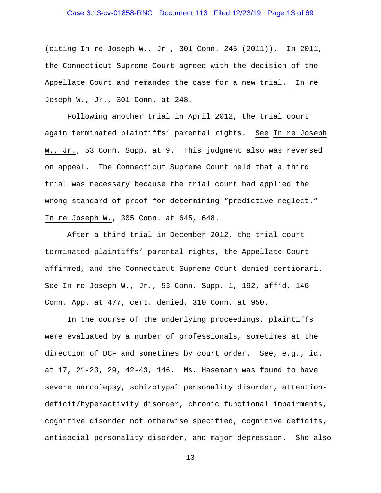## Case 3:13-cv-01858-RNC Document 113 Filed 12/23/19 Page 13 of 69

(citing In re Joseph W., Jr., 301 Conn. 245 (2011)). In 2011, the Connecticut Supreme Court agreed with the decision of the Appellate Court and remanded the case for a new trial. In re Joseph W., Jr., 301 Conn. at 248.

 Following another trial in April 2012, the trial court again terminated plaintiffs' parental rights. See In re Joseph W., Jr., 53 Conn. Supp. at 9. This judgment also was reversed on appeal. The Connecticut Supreme Court held that a third trial was necessary because the trial court had applied the wrong standard of proof for determining "predictive neglect." In re Joseph W., 305 Conn. at 645, 648.

 After a third trial in December 2012, the trial court terminated plaintiffs' parental rights, the Appellate Court affirmed, and the Connecticut Supreme Court denied certiorari. See In re Joseph W., Jr., 53 Conn. Supp. 1, 192, aff'd, 146 Conn. App. at 477, cert. denied, 310 Conn. at 950.

In the course of the underlying proceedings, plaintiffs were evaluated by a number of professionals, sometimes at the direction of DCF and sometimes by court order. See, e.g., id. at 17, 21-23, 29, 42-43, 146. Ms. Hasemann was found to have severe narcolepsy, schizotypal personality disorder, attentiondeficit/hyperactivity disorder, chronic functional impairments, cognitive disorder not otherwise specified, cognitive deficits, antisocial personality disorder, and major depression. She also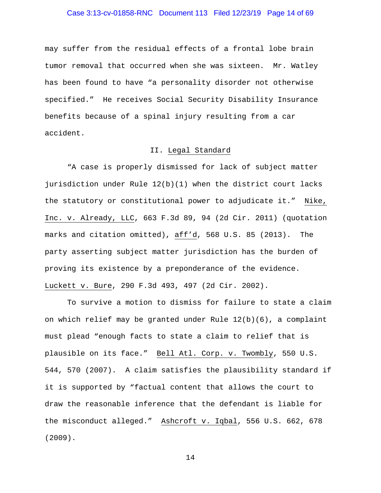## Case 3:13-cv-01858-RNC Document 113 Filed 12/23/19 Page 14 of 69

may suffer from the residual effects of a frontal lobe brain tumor removal that occurred when she was sixteen. Mr. Watley has been found to have "a personality disorder not otherwise specified." He receives Social Security Disability Insurance benefits because of a spinal injury resulting from a car accident.

## II. Legal Standard

"A case is properly dismissed for lack of subject matter jurisdiction under Rule 12(b)(1) when the district court lacks the statutory or constitutional power to adjudicate it." Nike, Inc. v. Already, LLC, 663 F.3d 89, 94 (2d Cir. 2011) (quotation marks and citation omitted), aff'd, 568 U.S. 85 (2013). The party asserting subject matter jurisdiction has the burden of proving its existence by a preponderance of the evidence. Luckett v. Bure, 290 F.3d 493, 497 (2d Cir. 2002).

To survive a motion to dismiss for failure to state a claim on which relief may be granted under Rule  $12(b)(6)$ , a complaint must plead "enough facts to state a claim to relief that is plausible on its face." Bell Atl. Corp. v. Twombly, 550 U.S. 544, 570 (2007). A claim satisfies the plausibility standard if it is supported by "factual content that allows the court to draw the reasonable inference that the defendant is liable for the misconduct alleged." Ashcroft v. Iqbal, 556 U.S. 662, 678 (2009).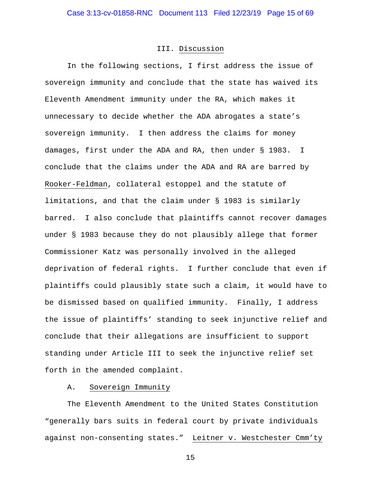## III. Discussion

In the following sections, I first address the issue of sovereign immunity and conclude that the state has waived its Eleventh Amendment immunity under the RA, which makes it unnecessary to decide whether the ADA abrogates a state's sovereign immunity. I then address the claims for money damages, first under the ADA and RA, then under § 1983. I conclude that the claims under the ADA and RA are barred by Rooker-Feldman, collateral estoppel and the statute of limitations, and that the claim under § 1983 is similarly barred. I also conclude that plaintiffs cannot recover damages under § 1983 because they do not plausibly allege that former Commissioner Katz was personally involved in the alleged deprivation of federal rights. I further conclude that even if plaintiffs could plausibly state such a claim, it would have to be dismissed based on qualified immunity. Finally, I address the issue of plaintiffs' standing to seek injunctive relief and conclude that their allegations are insufficient to support standing under Article III to seek the injunctive relief set forth in the amended complaint.

## A. Sovereign Immunity

The Eleventh Amendment to the United States Constitution "generally bars suits in federal court by private individuals against non-consenting states." Leitner v. Westchester Cmm'ty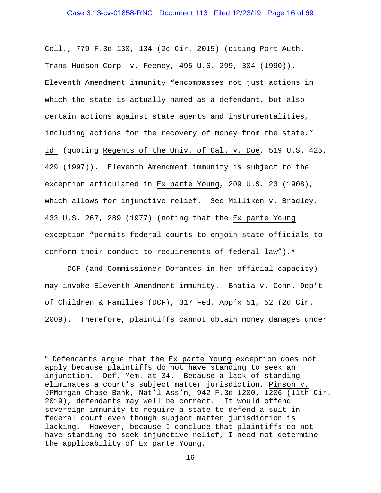Coll., 779 F.3d 130, 134 (2d Cir. 2015) (citing Port Auth. Trans-Hudson Corp. v. Feeney, 495 U.S. 299, 304 (1990)). Eleventh Amendment immunity "encompasses not just actions in which the state is actually named as a defendant, but also certain actions against state agents and instrumentalities, including actions for the recovery of money from the state." Id. (quoting Regents of the Univ. of Cal. v. Doe, 519 U.S. 425, 429 (1997)). Eleventh Amendment immunity is subject to the exception articulated in Ex parte Young, 209 U.S. 23 (1908), which allows for injunctive relief. See Milliken v. Bradley, 433 U.S. 267, 289 (1977) (noting that the Ex parte Young exception "permits federal courts to enjoin state officials to conform their conduct to requirements of federal law").<sup>9</sup>

DCF (and Commissioner Dorantes in her official capacity) may invoke Eleventh Amendment immunity. Bhatia v. Conn. Dep't of Children & Families (DCF), 317 Fed. App'x 51, 52 (2d Cir. 2009). Therefore, plaintiffs cannot obtain money damages under

<span id="page-15-0"></span><sup>&</sup>lt;sup>9</sup> Defendants argue that the Ex parte Young exception does not apply because plaintiffs do not have standing to seek an injunction. Def. Mem. at 34. Because a lack of standing eliminates a court's subject matter jurisdiction, Pinson v. JPMorgan Chase Bank, Nat'l Ass'n, 942 F.3d 1200, 1206 (11th Cir. 2019), defendants may well be correct. It would offend sovereign immunity to require a state to defend a suit in federal court even though subject matter jurisdiction is lacking. However, because I conclude that plaintiffs do not have standing to seek injunctive relief, I need not determine the applicability of Ex parte Young.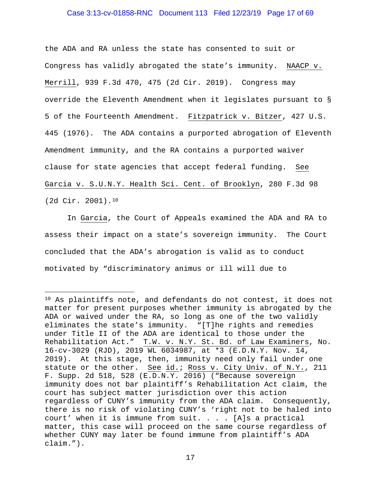### Case 3:13-cv-01858-RNC Document 113 Filed 12/23/19 Page 17 of 69

the ADA and RA unless the state has consented to suit or Congress has validly abrogated the state's immunity. NAACP v. Merrill, 939 F.3d 470, 475 (2d Cir. 2019). Congress may override the Eleventh Amendment when it legislates pursuant to § 5 of the Fourteenth Amendment. Fitzpatrick v. Bitzer, 427 U.S. 445 (1976). The ADA contains a purported abrogation of Eleventh Amendment immunity, and the RA contains a purported waiver clause for state agencies that accept federal funding. See Garcia v. S.U.N.Y. Health Sci. Cent. of Brooklyn, 280 F.3d 98 (2d Cir. 2001).[10](#page-16-0)

In Garcia, the Court of Appeals examined the ADA and RA to assess their impact on a state's sovereign immunity. The Court concluded that the ADA's abrogation is valid as to conduct motivated by "discriminatory animus or ill will due to

<span id="page-16-0"></span>Ĩ. <sup>10</sup> As plaintiffs note, and defendants do not contest, it does not matter for present purposes whether immunity is abrogated by the ADA or waived under the RA, so long as one of the two validly eliminates the state's immunity. "[T]he rights and remedies under Title II of the ADA are identical to those under the Rehabilitation Act." T.W. v. N.Y. St. Bd. of Law Examiners, No. 16-cv-3029 (RJD), 2019 WL 6034987, at \*3 (E.D.N.Y. Nov. 14, 2019). At this stage, then, immunity need only fail under one statute or the other. See id.; Ross v. City Univ. of N.Y., 211 F. Supp. 2d 518, 528 (E.D.N.Y. 2016) ("Because sovereign immunity does not bar plaintiff's Rehabilitation Act claim, the court has subject matter jurisdiction over this action regardless of CUNY's immunity from the ADA claim. Consequently, there is no risk of violating CUNY's 'right not to be haled into court' when it is immune from suit. . . . [A]s a practical matter, this case will proceed on the same course regardless of whether CUNY may later be found immune from plaintiff's ADA claim.").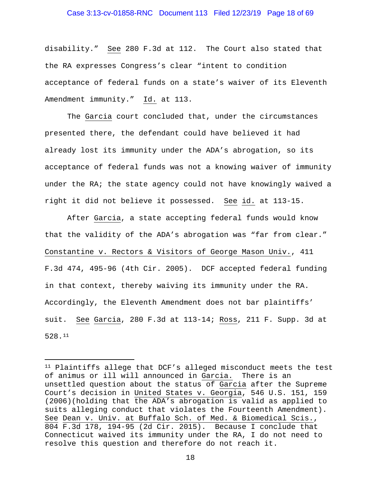### Case 3:13-cv-01858-RNC Document 113 Filed 12/23/19 Page 18 of 69

disability." See 280 F.3d at 112. The Court also stated that the RA expresses Congress's clear "intent to condition acceptance of federal funds on a state's waiver of its Eleventh Amendment immunity." Id. at 113.

 The Garcia court concluded that, under the circumstances presented there, the defendant could have believed it had already lost its immunity under the ADA's abrogation, so its acceptance of federal funds was not a knowing waiver of immunity under the RA; the state agency could not have knowingly waived a right it did not believe it possessed. See id. at 113-15.

 After Garcia, a state accepting federal funds would know that the validity of the ADA's abrogation was "far from clear." Constantine v. Rectors & Visitors of George Mason Univ., 411 F.3d 474, 495-96 (4th Cir. 2005). DCF accepted federal funding in that context, thereby waiving its immunity under the RA. Accordingly, the Eleventh Amendment does not bar plaintiffs' suit. See Garcia, 280 F.3d at 113-14; Ross, 211 F. Supp. 3d at 528.[11](#page-17-0) 

<span id="page-17-0"></span><sup>11</sup> Plaintiffs allege that DCF's alleged misconduct meets the test of animus or ill will announced in Garcia. There is an unsettled question about the status of Garcia after the Supreme Court's decision in United States v. Georgia, 546 U.S. 151, 159 (2006)(holding that the ADA's abrogation is valid as applied to suits alleging conduct that violates the Fourteenth Amendment). See Dean v. Univ. at Buffalo Sch. of Med. & Biomedical Scis., 804 F.3d 178, 194-95 (2d Cir. 2015). Because I conclude that Connecticut waived its immunity under the RA, I do not need to resolve this question and therefore do not reach it.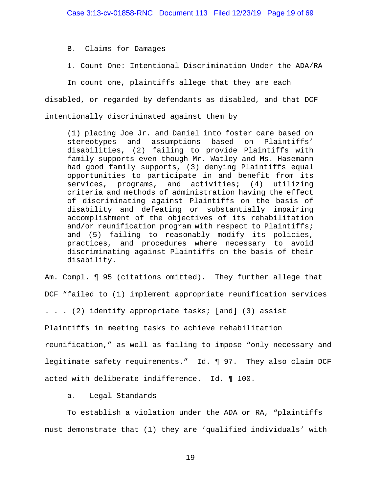B. Claims for Damages

1. Count One: Intentional Discrimination Under the ADA/RA

In count one, plaintiffs allege that they are each

disabled, or regarded by defendants as disabled, and that DCF

intentionally discriminated against them by

(1) placing Joe Jr. and Daniel into foster care based on stereotypes and assumptions based on Plaintiffs' disabilities, (2) failing to provide Plaintiffs with family supports even though Mr. Watley and Ms. Hasemann had good family supports, (3) denying Plaintiffs equal opportunities to participate in and benefit from its services, programs, and activities; (4) utilizing criteria and methods of administration having the effect of discriminating against Plaintiffs on the basis of disability and defeating or substantially impairing accomplishment of the objectives of its rehabilitation and/or reunification program with respect to Plaintiffs; and (5) failing to reasonably modify its policies, practices, and procedures where necessary to avoid discriminating against Plaintiffs on the basis of their disability.

Am. Compl. ¶ 95 (citations omitted). They further allege that DCF "failed to (1) implement appropriate reunification services . . . (2) identify appropriate tasks; [and] (3) assist Plaintiffs in meeting tasks to achieve rehabilitation reunification," as well as failing to impose "only necessary and legitimate safety requirements." Id. ¶ 97. They also claim DCF acted with deliberate indifference. Id. ¶ 100.

a. Legal Standards

To establish a violation under the ADA or RA, "plaintiffs must demonstrate that (1) they are 'qualified individuals' with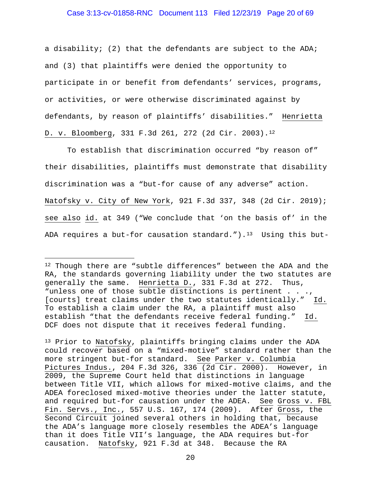### Case 3:13-cv-01858-RNC Document 113 Filed 12/23/19 Page 20 of 69

a disability; (2) that the defendants are subject to the ADA; and (3) that plaintiffs were denied the opportunity to participate in or benefit from defendants' services, programs, or activities, or were otherwise discriminated against by defendants, by reason of plaintiffs' disabilities." Henrietta D. v. Bloomberg, 331 F.3d 261, 272 (2d Cir. 2003)[.12](#page-19-0)

To establish that discrimination occurred "by reason of" their disabilities, plaintiffs must demonstrate that disability discrimination was a "but-for cause of any adverse" action. Natofsky v. City of New York, 921 F.3d 337, 348 (2d Cir. 2019); see also id. at 349 ("We conclude that 'on the basis of' in the ADA requires a but-for causation standard.").<sup>13</sup> Using this but-

<span id="page-19-0"></span><sup>12</sup> Though there are "subtle differences" between the ADA and the RA, the standards governing liability under the two statutes are generally the same. Henrietta D., 331 F.3d at 272. Thus, "unless one of those subtle distinctions is pertinent . . ., [courts] treat claims under the two statutes identically." Id. To establish a claim under the RA, a plaintiff must also establish "that the defendants receive federal funding." Id. DCF does not dispute that it receives federal funding.

<span id="page-19-1"></span><sup>&</sup>lt;sup>13</sup> Prior to Natofsky, plaintiffs bringing claims under the ADA could recover based on a "mixed-motive" standard rather than the more stringent but-for standard. See Parker v. Columbia Pictures Indus., 204 F.3d 326, 336 (2d Cir. 2000). However, in 2009, the Supreme Court held that distinctions in language between Title VII, which allows for mixed-motive claims, and the ADEA foreclosed mixed-motive theories under the latter statute, and required but-for causation under the ADEA. See Gross v. FBL Fin. Servs., Inc., 557 U.S. 167, 174 (2009). After Gross, the Second Circuit joined several others in holding that, because the ADA's language more closely resembles the ADEA's language than it does Title VII's language, the ADA requires but-for causation. Natofsky, 921 F.3d at 348. Because the RA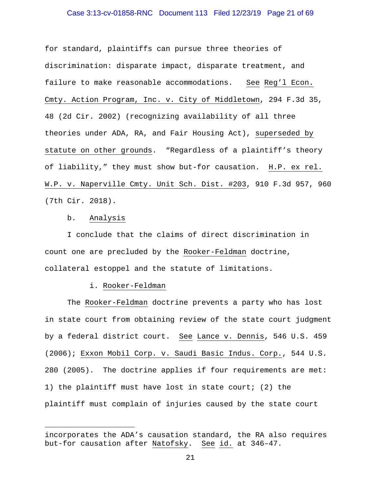### Case 3:13-cv-01858-RNC Document 113 Filed 12/23/19 Page 21 of 69

for standard, plaintiffs can pursue three theories of discrimination: disparate impact, disparate treatment, and failure to make reasonable accommodations. See Reg'l Econ. Cmty. Action Program, Inc. v. City of Middletown, 294 F.3d 35, 48 (2d Cir. 2002) (recognizing availability of all three theories under ADA, RA, and Fair Housing Act), superseded by statute on other grounds. "Regardless of a plaintiff's theory of liability," they must show but-for causation. H.P. ex rel. W.P. v. Naperville Cmty. Unit Sch. Dist. #203, 910 F.3d 957, 960 (7th Cir. 2018).

### b. Analysis

Ĩ.

I conclude that the claims of direct discrimination in count one are precluded by the Rooker-Feldman doctrine, collateral estoppel and the statute of limitations.

#### i. Rooker-Feldman

The Rooker-Feldman doctrine prevents a party who has lost in state court from obtaining review of the state court judgment by a federal district court. See Lance v. Dennis, 546 U.S. 459 (2006); Exxon Mobil Corp. v. Saudi Basic Indus. Corp., 544 U.S. 280 (2005). The doctrine applies if four requirements are met: 1) the plaintiff must have lost in state court; (2) the plaintiff must complain of injuries caused by the state court

incorporates the ADA's causation standard, the RA also requires but-for causation after Natofsky. See id. at 346–47.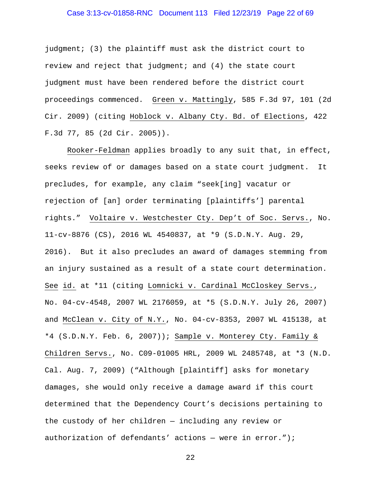## Case 3:13-cv-01858-RNC Document 113 Filed 12/23/19 Page 22 of 69

judgment; (3) the plaintiff must ask the district court to review and reject that judgment; and (4) the state court judgment must have been rendered before the district court proceedings commenced. Green v. Mattingly, 585 F.3d 97, 101 (2d Cir. 2009) (citing Hoblock v. Albany Cty. Bd. of Elections, 422 F.3d 77, 85 (2d Cir. 2005)).

Rooker-Feldman applies broadly to any suit that, in effect, seeks review of or damages based on a state court judgment. It precludes, for example, any claim "seek[ing] vacatur or rejection of [an] order terminating [plaintiffs'] parental rights." Voltaire v. Westchester Cty. Dep't of Soc. Servs., No. 11-cv-8876 (CS), 2016 WL 4540837, at \*9 (S.D.N.Y. Aug. 29, 2016). But it also precludes an award of damages stemming from an injury sustained as a result of a state court determination. See id. at \*11 (citing Lomnicki v. Cardinal McCloskey Servs., No. 04-cv-4548, 2007 WL 2176059, at \*5 (S.D.N.Y. July 26, 2007) and McClean v. City of N.Y., No. 04-cv-8353, 2007 WL 415138, at \*4 (S.D.N.Y. Feb. 6, 2007)); Sample v. Monterey Cty. Family & Children Servs., No. C09-01005 HRL, 2009 WL 2485748, at \*3 (N.D. Cal. Aug. 7, 2009) ("Although [plaintiff] asks for monetary damages, she would only receive a damage award if this court determined that the Dependency Court's decisions pertaining to the custody of her children — including any review or authorization of defendants' actions - were in error.");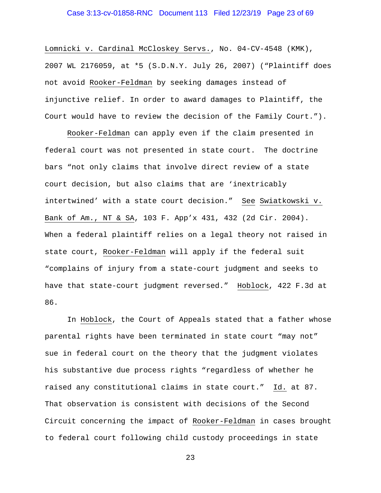## Case 3:13-cv-01858-RNC Document 113 Filed 12/23/19 Page 23 of 69

Lomnicki v. Cardinal McCloskey Servs., No. 04-CV-4548 (KMK), 2007 WL 2176059, at \*5 (S.D.N.Y. July 26, 2007) ("Plaintiff does not avoid Rooker-Feldman by seeking damages instead of injunctive relief. In order to award damages to Plaintiff, the Court would have to review the decision of the Family Court.").

Rooker-Feldman can apply even if the claim presented in federal court was not presented in state court. The doctrine bars "not only claims that involve direct review of a state court decision, but also claims that are 'inextricably intertwined' with a state court decision." See Swiatkowski v. Bank of Am., NT & SA, 103 F. App'x 431, 432 (2d Cir. 2004). When a federal plaintiff relies on a legal theory not raised in state court, Rooker-Feldman will apply if the federal suit "complains of injury from a state-court judgment and seeks to have that state-court judgment reversed." Hoblock, 422 F.3d at 86.

In Hoblock, the Court of Appeals stated that a father whose parental rights have been terminated in state court "may not" sue in federal court on the theory that the judgment violates his substantive due process rights "regardless of whether he raised any constitutional claims in state court." Id. at 87. That observation is consistent with decisions of the Second Circuit concerning the impact of Rooker-Feldman in cases brought to federal court following child custody proceedings in state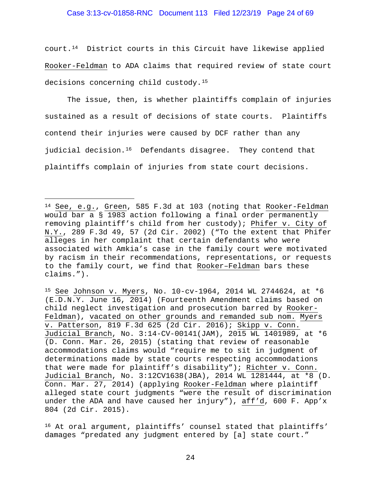## Case 3:13-cv-01858-RNC Document 113 Filed 12/23/19 Page 24 of 69

court.[14](#page-23-0) District courts in this Circuit have likewise applied Rooker-Feldman to ADA claims that required review of state court decisions concerning child custody[.15](#page-23-1)

The issue, then, is whether plaintiffs complain of injuries sustained as a result of decisions of state courts. Plaintiffs contend their injuries were caused by DCF rather than any judicial decision.<sup>[16](#page-23-2)</sup> Defendants disagree. They contend that plaintiffs complain of injuries from state court decisions.

ī

<span id="page-23-0"></span><sup>14</sup> See, e.g., Green, 585 F.3d at 103 (noting that Rooker-Feldman would bar a § 1983 action following a final order permanently removing plaintiff's child from her custody); Phifer v. City of N.Y., 289 F.3d 49, 57 (2d Cir. 2002) ("To the extent that Phifer alleges in her complaint that certain defendants who were associated with Amkia's case in the family court were motivated by racism in their recommendations, representations, or requests to the family court, we find that Rooker–Feldman bars these claims.").

<span id="page-23-1"></span><sup>15</sup> See Johnson v. Myers, No. 10-cv-1964, 2014 WL 2744624, at \*6 (E.D.N.Y. June 16, 2014) (Fourteenth Amendment claims based on child neglect investigation and prosecution barred by Rooker-Feldman), vacated on other grounds and remanded sub nom. Myers v. Patterson, 819 F.3d 625 (2d Cir. 2016); Skipp v. Conn. Judicial Branch, No. 3:14-CV-00141(JAM), 2015 WL 1401989, at \*6 (D. Conn. Mar. 26, 2015) (stating that review of reasonable accommodations claims would "require me to sit in judgment of determinations made by state courts respecting accommodations that were made for plaintiff's disability"); Richter v. Conn. Judicial Branch, No. 3:12CV1638(JBA), 2014 WL 1281444, at \*8 (D. Conn. Mar. 27, 2014) (applying Rooker-Feldman where plaintiff alleged state court judgments "were the result of discrimination under the ADA and have caused her injury"), aff'd, 600 F. App'x 804 (2d Cir. 2015).

<span id="page-23-2"></span><sup>16</sup> At oral argument, plaintiffs' counsel stated that plaintiffs' damages "predated any judgment entered by [a] state court."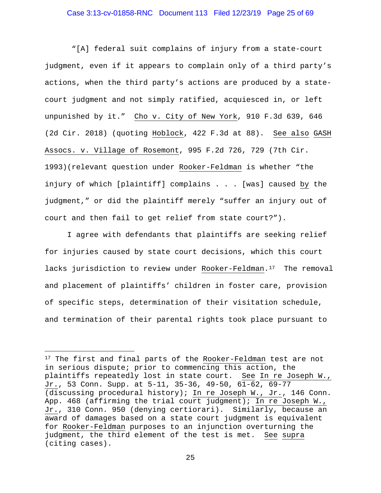## Case 3:13-cv-01858-RNC Document 113 Filed 12/23/19 Page 25 of 69

"[A] federal suit complains of injury from a state-court judgment, even if it appears to complain only of a third party's actions, when the third party's actions are produced by a statecourt judgment and not simply ratified, acquiesced in, or left unpunished by it." Cho v. City of New York, 910 F.3d 639, 646 (2d Cir. 2018) (quoting Hoblock, 422 F.3d at 88). See also GASH Assocs. v. Village of Rosemont, 995 F.2d 726, 729 (7th Cir. 1993)(relevant question under Rooker-Feldman is whether "the injury of which [plaintiff] complains . . . [was] caused by the judgment," or did the plaintiff merely "suffer an injury out of court and then fail to get relief from state court?").

I agree with defendants that plaintiffs are seeking relief for injuries caused by state court decisions, which this court lacks jurisdiction to review under Rooker-Feldman.<sup>17</sup> The removal and placement of plaintiffs' children in foster care, provision of specific steps, determination of their visitation schedule, and termination of their parental rights took place pursuant to

Ĩ.

<span id="page-24-0"></span><sup>&</sup>lt;sup>17</sup> The first and final parts of the Rooker-Feldman test are not in serious dispute; prior to commencing this action, the plaintiffs repeatedly lost in state court. See In re Joseph W., Jr., 53 Conn. Supp. at  $5-11$ ,  $35-36$ ,  $49-50$ ,  $61-62$ ,  $69-77$ (discussing procedural history); In re Joseph W., Jr., 146 Conn. App. 468 (affirming the trial court judgment); In re Joseph W., Jr., 310 Conn. 950 (denying certiorari). Similarly, because an award of damages based on a state court judgment is equivalent for Rooker-Feldman purposes to an injunction overturning the judgment, the third element of the test is met. See supra (citing cases).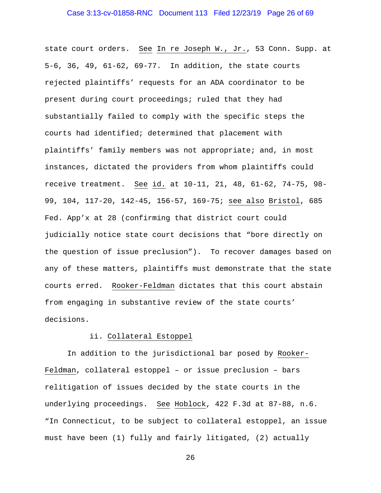state court orders. See In re Joseph W., Jr., 53 Conn. Supp. at 5-6, 36, 49, 61-62, 69-77. In addition, the state courts rejected plaintiffs' requests for an ADA coordinator to be present during court proceedings; ruled that they had substantially failed to comply with the specific steps the courts had identified; determined that placement with plaintiffs' family members was not appropriate; and, in most instances, dictated the providers from whom plaintiffs could receive treatment. See id. at 10-11, 21, 48, 61-62, 74-75, 98- 99, 104, 117-20, 142-45, 156-57, 169-75; see also Bristol, 685 Fed. App'x at 28 (confirming that district court could judicially notice state court decisions that "bore directly on the question of issue preclusion"). To recover damages based on any of these matters, plaintiffs must demonstrate that the state courts erred. Rooker-Feldman dictates that this court abstain from engaging in substantive review of the state courts' decisions.

### ii. Collateral Estoppel

In addition to the jurisdictional bar posed by Rooker-Feldman, collateral estoppel – or issue preclusion – bars relitigation of issues decided by the state courts in the underlying proceedings. See Hoblock, 422 F.3d at 87-88, n.6. "In Connecticut, to be subject to collateral estoppel, an issue must have been (1) fully and fairly litigated, (2) actually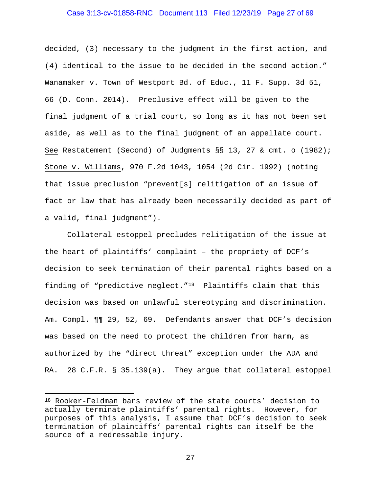### Case 3:13-cv-01858-RNC Document 113 Filed 12/23/19 Page 27 of 69

decided, (3) necessary to the judgment in the first action, and (4) identical to the issue to be decided in the second action." Wanamaker v. Town of Westport Bd. of Educ., 11 F. Supp. 3d 51, 66 (D. Conn. 2014). Preclusive effect will be given to the final judgment of a trial court, so long as it has not been set aside, as well as to the final judgment of an appellate court. See Restatement (Second) of Judgments §§ 13, 27 & cmt. o (1982); Stone v. Williams, 970 F.2d 1043, 1054 (2d Cir. 1992) (noting that issue preclusion "prevent[s] relitigation of an issue of fact or law that has already been necessarily decided as part of a valid, final judgment").

Collateral estoppel precludes relitigation of the issue at the heart of plaintiffs' complaint – the propriety of DCF's decision to seek termination of their parental rights based on a finding of "predictive neglect."[18](#page-26-0) Plaintiffs claim that this decision was based on unlawful stereotyping and discrimination. Am. Compl. ¶¶ 29, 52, 69. Defendants answer that DCF's decision was based on the need to protect the children from harm, as authorized by the "direct threat" exception under the ADA and RA. 28 C.F.R. § 35.139(a). They argue that collateral estoppel

Ĩ.

<span id="page-26-0"></span><sup>&</sup>lt;sup>18</sup> <u>Rooker-Feldman</u> bars review of the state courts' decision to actually terminate plaintiffs' parental rights. However, for purposes of this analysis, I assume that DCF's decision to seek termination of plaintiffs' parental rights can itself be the source of a redressable injury.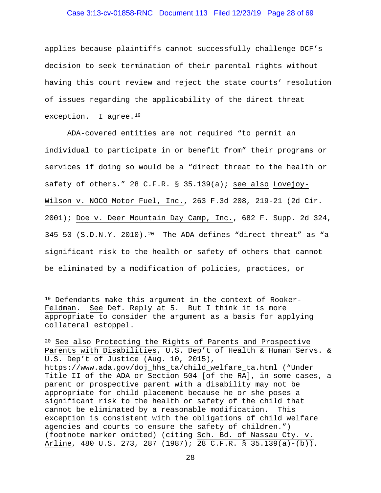### Case 3:13-cv-01858-RNC Document 113 Filed 12/23/19 Page 28 of 69

applies because plaintiffs cannot successfully challenge DCF's decision to seek termination of their parental rights without having this court review and reject the state courts' resolution of issues regarding the applicability of the direct threat exception. I agree.<sup>[19](#page-27-0)</sup>

ADA-covered entities are not required "to permit an individual to participate in or benefit from" their programs or services if doing so would be a "direct threat to the health or safety of others." 28 C.F.R. § 35.139(a); see also Lovejoy-Wilson v. NOCO Motor Fuel, Inc., 263 F.3d 208, 219-21 (2d Cir. 2001); Doe v. Deer Mountain Day Camp, Inc., 682 F. Supp. 2d 324, 345-50 (S.D.N.Y. 2010).[20](#page-27-1) The ADA defines "direct threat" as "a significant risk to the health or safety of others that cannot be eliminated by a modification of policies, practices, or

<span id="page-27-0"></span><sup>19</sup> Defendants make this argument in the context of Rooker-Feldman. See Def. Reply at 5. But I think it is more appropriate to consider the argument as a basis for applying collateral estoppel.

<span id="page-27-1"></span><sup>20</sup> See also Protecting the Rights of Parents and Prospective Parents with Disabilities, U.S. Dep't of Health & Human Servs. & U.S. Dep't of Justice (Aug. 10, 2015), https://www.ada.gov/doj\_hhs\_ta/child\_welfare\_ta.html ("Under Title II of the ADA or Section 504 [of the RA], in some cases, a parent or prospective parent with a disability may not be appropriate for child placement because he or she poses a significant risk to the health or safety of the child that cannot be eliminated by a reasonable modification. This exception is consistent with the obligations of child welfare agencies and courts to ensure the safety of children.") (footnote marker omitted) (citing Sch. Bd. of Nassau Cty. v. Arline, 480 U.S. 273, 287 (1987); 28 C.F.R. § 35.139(a)-(b)).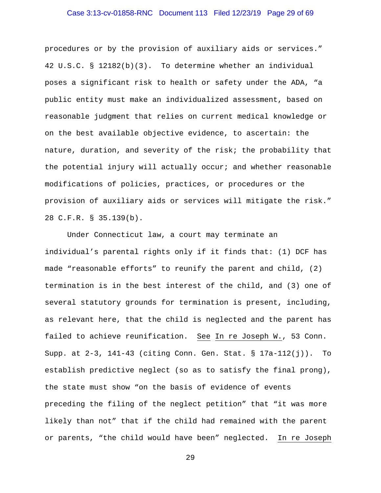## Case 3:13-cv-01858-RNC Document 113 Filed 12/23/19 Page 29 of 69

procedures or by the provision of auxiliary aids or services." 42 U.S.C. § 12182(b)(3). To determine whether an individual poses a significant risk to health or safety under the ADA, "a public entity must make an individualized assessment, based on reasonable judgment that relies on current medical knowledge or on the best available objective evidence, to ascertain: the nature, duration, and severity of the risk; the probability that the potential injury will actually occur; and whether reasonable modifications of policies, practices, or procedures or the provision of auxiliary aids or services will mitigate the risk." 28 C.F.R. § 35.139(b).

Under Connecticut law, a court may terminate an individual's parental rights only if it finds that: (1) DCF has made "reasonable efforts" to reunify the parent and child, (2) termination is in the best interest of the child, and (3) one of several statutory grounds for termination is present, including, as relevant here, that the child is neglected and the parent has failed to achieve reunification. See In re Joseph W., 53 Conn. Supp. at 2-3, 141-43 (citing Conn. Gen. Stat. § 17a-112(j)). To establish predictive neglect (so as to satisfy the final prong), the state must show "on the basis of evidence of events preceding the filing of the neglect petition" that "it was more likely than not" that if the child had remained with the parent or parents, "the child would have been" neglected. In re Joseph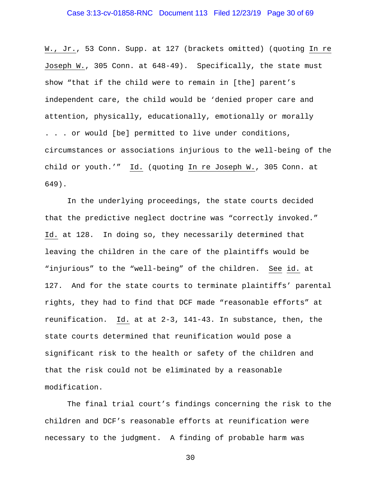## Case 3:13-cv-01858-RNC Document 113 Filed 12/23/19 Page 30 of 69

W., Jr., 53 Conn. Supp. at 127 (brackets omitted) (quoting In re Joseph W., 305 Conn. at 648-49). Specifically, the state must show "that if the child were to remain in [the] parent's independent care, the child would be 'denied proper care and attention, physically, educationally, emotionally or morally . . . or would [be] permitted to live under conditions, circumstances or associations injurious to the well-being of the child or youth.'" Id. (quoting In re Joseph W., 305 Conn. at 649).

In the underlying proceedings, the state courts decided that the predictive neglect doctrine was "correctly invoked." Id. at 128. In doing so, they necessarily determined that leaving the children in the care of the plaintiffs would be "injurious" to the "well-being" of the children. See id. at 127. And for the state courts to terminate plaintiffs' parental rights, they had to find that DCF made "reasonable efforts" at reunification. Id. at at 2-3, 141-43. In substance, then, the state courts determined that reunification would pose a significant risk to the health or safety of the children and that the risk could not be eliminated by a reasonable modification.

The final trial court's findings concerning the risk to the children and DCF's reasonable efforts at reunification were necessary to the judgment. A finding of probable harm was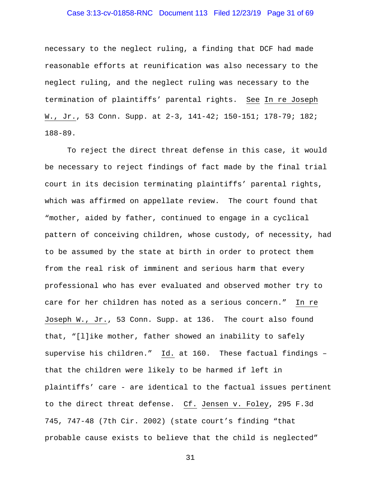## Case 3:13-cv-01858-RNC Document 113 Filed 12/23/19 Page 31 of 69

necessary to the neglect ruling, a finding that DCF had made reasonable efforts at reunification was also necessary to the neglect ruling, and the neglect ruling was necessary to the termination of plaintiffs' parental rights. See In re Joseph W., Jr., 53 Conn. Supp. at 2-3, 141-42; 150-151; 178-79; 182; 188-89.

To reject the direct threat defense in this case, it would be necessary to reject findings of fact made by the final trial court in its decision terminating plaintiffs' parental rights, which was affirmed on appellate review. The court found that "mother, aided by father, continued to engage in a cyclical pattern of conceiving children, whose custody, of necessity, had to be assumed by the state at birth in order to protect them from the real risk of imminent and serious harm that every professional who has ever evaluated and observed mother try to care for her children has noted as a serious concern." In re Joseph W., Jr., 53 Conn. Supp. at 136. The court also found that, "[l]ike mother, father showed an inability to safely supervise his children." Id. at 160. These factual findings – that the children were likely to be harmed if left in plaintiffs' care - are identical to the factual issues pertinent to the direct threat defense. Cf. Jensen v. Foley, 295 F.3d 745, 747-48 (7th Cir. 2002) (state court's finding "that probable cause exists to believe that the child is neglected"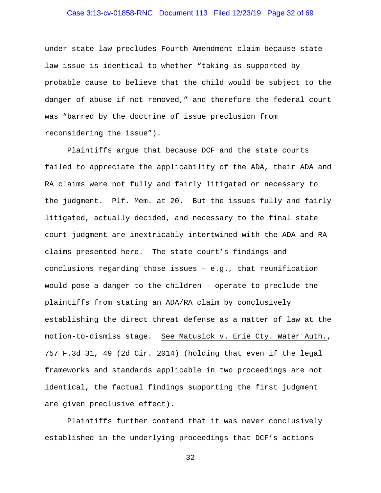## Case 3:13-cv-01858-RNC Document 113 Filed 12/23/19 Page 32 of 69

under state law precludes Fourth Amendment claim because state law issue is identical to whether "taking is supported by probable cause to believe that the child would be subject to the danger of abuse if not removed," and therefore the federal court was "barred by the doctrine of issue preclusion from reconsidering the issue").

Plaintiffs argue that because DCF and the state courts failed to appreciate the applicability of the ADA, their ADA and RA claims were not fully and fairly litigated or necessary to the judgment. Plf. Mem. at 20. But the issues fully and fairly litigated, actually decided, and necessary to the final state court judgment are inextricably intertwined with the ADA and RA claims presented here. The state court's findings and conclusions regarding those issues – e.g., that reunification would pose a danger to the children – operate to preclude the plaintiffs from stating an ADA/RA claim by conclusively establishing the direct threat defense as a matter of law at the motion-to-dismiss stage. See Matusick v. Erie Cty. Water Auth., 757 F.3d 31, 49 (2d Cir. 2014) (holding that even if the legal frameworks and standards applicable in two proceedings are not identical, the factual findings supporting the first judgment are given preclusive effect).

Plaintiffs further contend that it was never conclusively established in the underlying proceedings that DCF's actions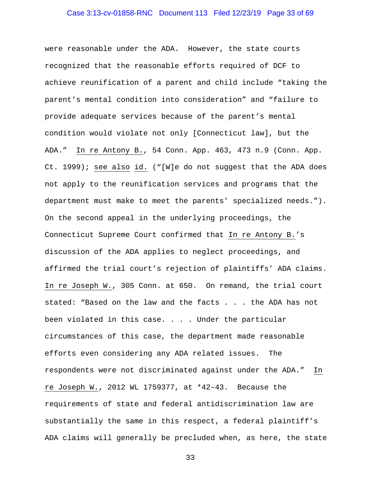## Case 3:13-cv-01858-RNC Document 113 Filed 12/23/19 Page 33 of 69

were reasonable under the ADA. However, the state courts recognized that the reasonable efforts required of DCF to achieve reunification of a parent and child include "taking the parent's mental condition into consideration" and "failure to provide adequate services because of the parent's mental condition would violate not only [Connecticut law], but the ADA." In re Antony B., 54 Conn. App. 463, 473 n.9 (Conn. App. Ct. 1999); see also id. ("[W]e do not suggest that the ADA does not apply to the reunification services and programs that the department must make to meet the parents' specialized needs."). On the second appeal in the underlying proceedings, the Connecticut Supreme Court confirmed that In re Antony B.'s discussion of the ADA applies to neglect proceedings, and affirmed the trial court's rejection of plaintiffs' ADA claims. In re Joseph W., 305 Conn. at 650. On remand, the trial court stated: "Based on the law and the facts . . . the ADA has not been violated in this case. . . . Under the particular circumstances of this case, the department made reasonable efforts even considering any ADA related issues. The respondents were not discriminated against under the ADA." In re Joseph W., 2012 WL 1759377, at \*42–43. Because the requirements of state and federal antidiscrimination law are substantially the same in this respect, a federal plaintiff's ADA claims will generally be precluded when, as here, the state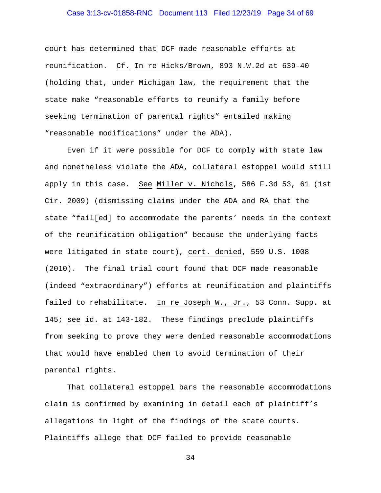## Case 3:13-cv-01858-RNC Document 113 Filed 12/23/19 Page 34 of 69

court has determined that DCF made reasonable efforts at reunification. Cf. In re Hicks/Brown, 893 N.W.2d at 639-40 (holding that, under Michigan law, the requirement that the state make "reasonable efforts to reunify a family before seeking termination of parental rights" entailed making "reasonable modifications" under the ADA).

Even if it were possible for DCF to comply with state law and nonetheless violate the ADA, collateral estoppel would still apply in this case. See Miller v. Nichols, 586 F.3d 53, 61 (1st Cir. 2009) (dismissing claims under the ADA and RA that the state "fail[ed] to accommodate the parents' needs in the context of the reunification obligation" because the underlying facts were litigated in state court), cert. denied, 559 U.S. 1008 (2010). The final trial court found that DCF made reasonable (indeed "extraordinary") efforts at reunification and plaintiffs failed to rehabilitate. In re Joseph W., Jr., 53 Conn. Supp. at 145; see id. at 143-182. These findings preclude plaintiffs from seeking to prove they were denied reasonable accommodations that would have enabled them to avoid termination of their parental rights.

 That collateral estoppel bars the reasonable accommodations claim is confirmed by examining in detail each of plaintiff's allegations in light of the findings of the state courts. Plaintiffs allege that DCF failed to provide reasonable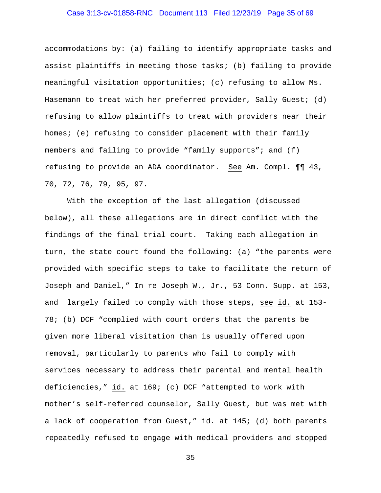## Case 3:13-cv-01858-RNC Document 113 Filed 12/23/19 Page 35 of 69

accommodations by: (a) failing to identify appropriate tasks and assist plaintiffs in meeting those tasks; (b) failing to provide meaningful visitation opportunities; (c) refusing to allow Ms. Hasemann to treat with her preferred provider, Sally Guest; (d) refusing to allow plaintiffs to treat with providers near their homes; (e) refusing to consider placement with their family members and failing to provide "family supports"; and (f) refusing to provide an ADA coordinator. See Am. Compl. ¶¶ 43, 70, 72, 76, 79, 95, 97.

With the exception of the last allegation (discussed below), all these allegations are in direct conflict with the findings of the final trial court. Taking each allegation in turn, the state court found the following: (a) "the parents were provided with specific steps to take to facilitate the return of Joseph and Daniel," In re Joseph W., Jr., 53 Conn. Supp. at 153, and largely failed to comply with those steps, see id. at 153- 78; (b) DCF "complied with court orders that the parents be given more liberal visitation than is usually offered upon removal, particularly to parents who fail to comply with services necessary to address their parental and mental health deficiencies," id. at 169; (c) DCF "attempted to work with mother's self-referred counselor, Sally Guest, but was met with a lack of cooperation from Guest," id. at 145; (d) both parents repeatedly refused to engage with medical providers and stopped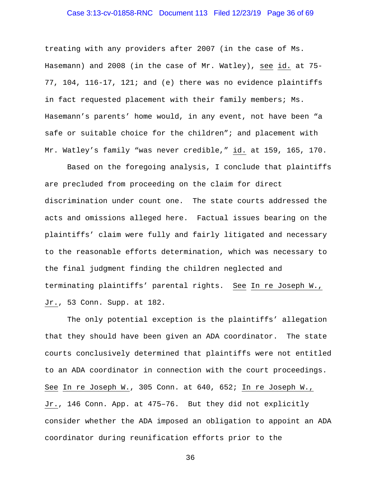## Case 3:13-cv-01858-RNC Document 113 Filed 12/23/19 Page 36 of 69

treating with any providers after 2007 (in the case of Ms. Hasemann) and 2008 (in the case of Mr. Watley), see id. at 75- 77, 104, 116-17, 121; and (e) there was no evidence plaintiffs in fact requested placement with their family members; Ms. Hasemann's parents' home would, in any event, not have been "a safe or suitable choice for the children"; and placement with Mr. Watley's family "was never credible," id. at 159, 165, 170.

Based on the foregoing analysis, I conclude that plaintiffs are precluded from proceeding on the claim for direct discrimination under count one. The state courts addressed the acts and omissions alleged here. Factual issues bearing on the plaintiffs' claim were fully and fairly litigated and necessary to the reasonable efforts determination, which was necessary to the final judgment finding the children neglected and terminating plaintiffs' parental rights. See In re Joseph W., Jr., 53 Conn. Supp. at 182.

The only potential exception is the plaintiffs' allegation that they should have been given an ADA coordinator. The state courts conclusively determined that plaintiffs were not entitled to an ADA coordinator in connection with the court proceedings. See In re Joseph W., 305 Conn. at 640, 652; In re Joseph W., Jr., 146 Conn. App. at 475–76. But they did not explicitly consider whether the ADA imposed an obligation to appoint an ADA coordinator during reunification efforts prior to the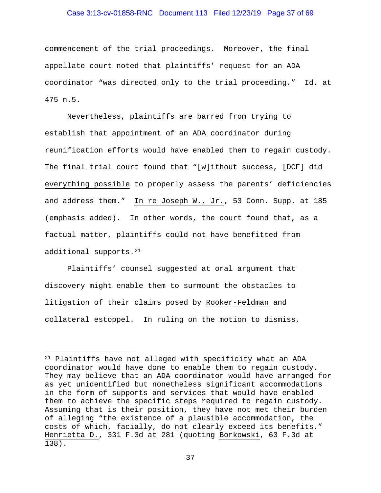### Case 3:13-cv-01858-RNC Document 113 Filed 12/23/19 Page 37 of 69

commencement of the trial proceedings. Moreover, the final appellate court noted that plaintiffs' request for an ADA coordinator "was directed only to the trial proceeding." Id. at 475 n.5.

Nevertheless, plaintiffs are barred from trying to establish that appointment of an ADA coordinator during reunification efforts would have enabled them to regain custody. The final trial court found that "[w]ithout success, [DCF] did everything possible to properly assess the parents' deficiencies and address them." In re Joseph W., Jr., 53 Conn. Supp. at 185 (emphasis added). In other words, the court found that, as a factual matter, plaintiffs could not have benefitted from additional supports.<sup>21</sup>

Plaintiffs' counsel suggested at oral argument that discovery might enable them to surmount the obstacles to litigation of their claims posed by Rooker-Feldman and collateral estoppel. In ruling on the motion to dismiss,

<span id="page-36-0"></span><sup>21</sup> Plaintiffs have not alleged with specificity what an ADA coordinator would have done to enable them to regain custody. They may believe that an ADA coordinator would have arranged for as yet unidentified but nonetheless significant accommodations in the form of supports and services that would have enabled them to achieve the specific steps required to regain custody. Assuming that is their position, they have not met their burden of alleging "the existence of a plausible accommodation, the costs of which, facially, do not clearly exceed its benefits." Henrietta D., 331 F.3d at 281 (quoting Borkowski, 63 F.3d at 138).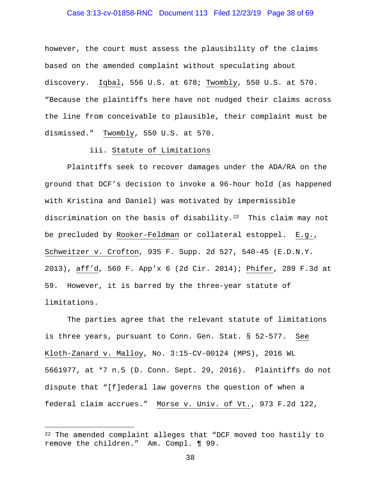## Case 3:13-cv-01858-RNC Document 113 Filed 12/23/19 Page 38 of 69

however, the court must assess the plausibility of the claims based on the amended complaint without speculating about discovery. Iqbal, 556 U.S. at 678; Twombly, 550 U.S. at 570. "Because the plaintiffs here have not nudged their claims across the line from conceivable to plausible, their complaint must be dismissed." Twombly, 550 U.S. at 570.

## iii. Statute of Limitations

Plaintiffs seek to recover damages under the ADA/RA on the ground that DCF's decision to invoke a 96-hour hold (as happened with Kristina and Daniel) was motivated by impermissible discrimination on the basis of disability. $22$  This claim may not be precluded by Rooker-Feldman or collateral estoppel. E.g., Schweitzer v. Crofton, 935 F. Supp. 2d 527, 540-45 (E.D.N.Y. 2013), aff'd, 560 F. App'x 6 (2d Cir. 2014); Phifer, 289 F.3d at 59. However, it is barred by the three-year statute of limitations.

The parties agree that the relevant statute of limitations is three years, pursuant to Conn. Gen. Stat. § 52-577. See Kloth-Zanard v. Malloy, No. 3:15-CV-00124 (MPS), 2016 WL 5661977, at \*7 n.5 (D. Conn. Sept. 29, 2016). Plaintiffs do not dispute that "[f]ederal law governs the question of when a federal claim accrues." Morse v. Univ. of Vt., 973 F.2d 122,

<span id="page-37-0"></span><sup>&</sup>lt;sup>22</sup> The amended complaint alleges that "DCF moved too hastily to remove the children." Am. Compl. ¶ 99.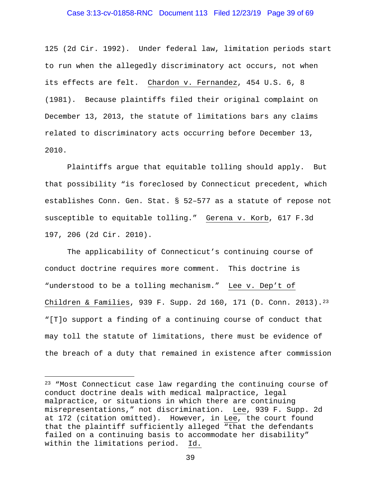### Case 3:13-cv-01858-RNC Document 113 Filed 12/23/19 Page 39 of 69

125 (2d Cir. 1992). Under federal law, limitation periods start to run when the allegedly discriminatory act occurs, not when its effects are felt. Chardon v. Fernandez, 454 U.S. 6, 8 (1981). Because plaintiffs filed their original complaint on December 13, 2013, the statute of limitations bars any claims related to discriminatory acts occurring before December 13, 2010.

Plaintiffs argue that equitable tolling should apply. But that possibility "is foreclosed by Connecticut precedent, which establishes Conn. Gen. Stat. § 52–577 as a statute of repose not susceptible to equitable tolling." Gerena v. Korb, 617 F.3d 197, 206 (2d Cir. 2010).

The applicability of Connecticut's continuing course of conduct doctrine requires more comment. This doctrine is "understood to be a tolling mechanism." Lee v. Dep't of Children & Families, 939 F. Supp. 2d 160, 171 (D. Conn. 2013).<sup>[23](#page-38-0)</sup> "[T]o support a finding of a continuing course of conduct that may toll the statute of limitations, there must be evidence of the breach of a duty that remained in existence after commission

<span id="page-38-0"></span>ī <sup>23</sup> "Most Connecticut case law regarding the continuing course of conduct doctrine deals with medical malpractice, legal malpractice, or situations in which there are continuing misrepresentations," not discrimination. Lee, 939 F. Supp. 2d at 172 (citation omitted). However, in Lee, the court found that the plaintiff sufficiently alleged "that the defendants failed on a continuing basis to accommodate her disability"<br>within the limitations period. Id. within the limitations period.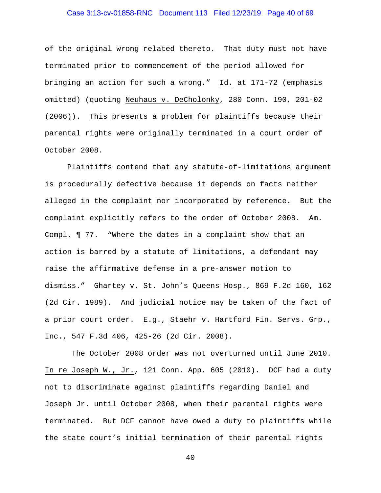## Case 3:13-cv-01858-RNC Document 113 Filed 12/23/19 Page 40 of 69

of the original wrong related thereto. That duty must not have terminated prior to commencement of the period allowed for bringing an action for such a wrong." Id. at 171-72 (emphasis omitted) (quoting Neuhaus v. DeCholonky, 280 Conn. 190, 201-02 (2006)). This presents a problem for plaintiffs because their parental rights were originally terminated in a court order of October 2008.

Plaintiffs contend that any statute-of-limitations argument is procedurally defective because it depends on facts neither alleged in the complaint nor incorporated by reference. But the complaint explicitly refers to the order of October 2008. Am. Compl. ¶ 77. "Where the dates in a complaint show that an action is barred by a statute of limitations, a defendant may raise the affirmative defense in a pre-answer motion to dismiss." Ghartey v. St. John's Queens Hosp., 869 F.2d 160, 162 (2d Cir. 1989). And judicial notice may be taken of the fact of a prior court order. E.g., Staehr v. Hartford Fin. Servs. Grp., Inc., 547 F.3d 406, 425-26 (2d Cir. 2008).

The October 2008 order was not overturned until June 2010. In re Joseph W., Jr., 121 Conn. App. 605 (2010). DCF had a duty not to discriminate against plaintiffs regarding Daniel and Joseph Jr. until October 2008, when their parental rights were terminated. But DCF cannot have owed a duty to plaintiffs while the state court's initial termination of their parental rights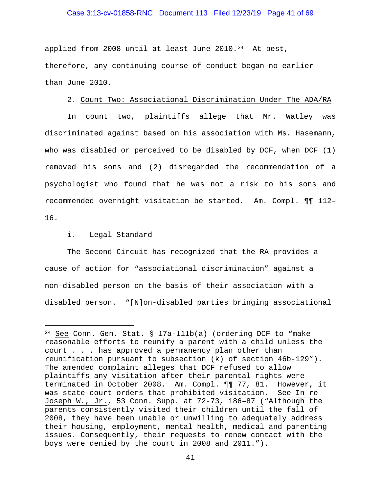### Case 3:13-cv-01858-RNC Document 113 Filed 12/23/19 Page 41 of 69

applied from 2008 until at least June  $2010.^{24}$  At best, therefore, any continuing course of conduct began no earlier than June 2010.

### 2. Count Two: Associational Discrimination Under The ADA/RA

In count two, plaintiffs allege that Mr. Watley was discriminated against based on his association with Ms. Hasemann, who was disabled or perceived to be disabled by DCF, when DCF (1) removed his sons and (2) disregarded the recommendation of a psychologist who found that he was not a risk to his sons and recommended overnight visitation be started. Am. Compl. ¶¶ 112– 16.

### i. Legal Standard

The Second Circuit has recognized that the RA provides a cause of action for "associational discrimination" against a non-disabled person on the basis of their association with a disabled person. "[N]on-disabled parties bringing associational

<span id="page-40-0"></span>Ĩ.  $24$  See Conn. Gen. Stat. § 17a-111b(a) (ordering DCF to "make reasonable efforts to reunify a parent with a child unless the court . . . has approved a permanency plan other than reunification pursuant to subsection (k) of section 46b-129"). The amended complaint alleges that DCF refused to allow plaintiffs any visitation after their parental rights were terminated in October 2008. Am. Compl. ¶¶ 77, 81. However, it was state court orders that prohibited visitation. See In re Joseph W., Jr., 53 Conn. Supp. at 72-73, 186–87 ("Although the parents consistently visited their children until the fall of 2008, they have been unable or unwilling to adequately address their housing, employment, mental health, medical and parenting issues. Consequently, their requests to renew contact with the boys were denied by the court in 2008 and 2011.").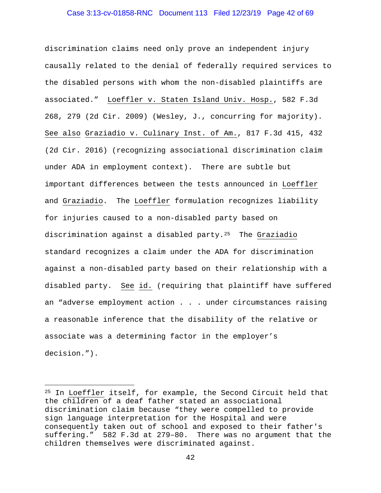### Case 3:13-cv-01858-RNC Document 113 Filed 12/23/19 Page 42 of 69

discrimination claims need only prove an independent injury causally related to the denial of federally required services to the disabled persons with whom the non-disabled plaintiffs are associated." Loeffler v. Staten Island Univ. Hosp., 582 F.3d 268, 279 (2d Cir. 2009) (Wesley, J., concurring for majority). See also Graziadio v. Culinary Inst. of Am., 817 F.3d 415, 432 (2d Cir. 2016) (recognizing associational discrimination claim under ADA in employment context). There are subtle but important differences between the tests announced in Loeffler and Graziadio. The Loeffler formulation recognizes liability for injuries caused to a non-disabled party based on discrimination against a disabled party[.25](#page-41-0) The Graziadio standard recognizes a claim under the ADA for discrimination against a non-disabled party based on their relationship with a disabled party. See id. (requiring that plaintiff have suffered an "adverse employment action . . . under circumstances raising a reasonable inference that the disability of the relative or associate was a determining factor in the employer's decision.").

<span id="page-41-0"></span><sup>25</sup> In Loeffler itself, for example, the Second Circuit held that the children of a deaf father stated an associational discrimination claim because "they were compelled to provide sign language interpretation for the Hospital and were consequently taken out of school and exposed to their father's suffering." 582 F.3d at 279–80. There was no argument that the children themselves were discriminated against.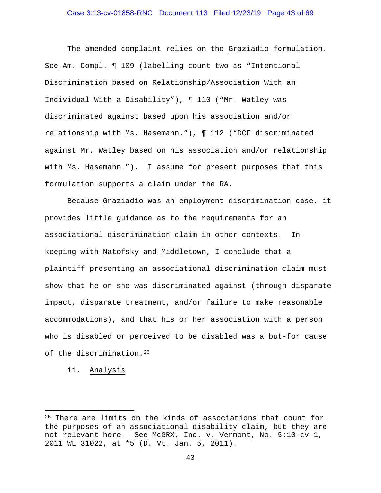## Case 3:13-cv-01858-RNC Document 113 Filed 12/23/19 Page 43 of 69

The amended complaint relies on the Graziadio formulation. See Am. Compl. ¶ 109 (labelling count two as "Intentional Discrimination based on Relationship/Association With an Individual With a Disability"), ¶ 110 ("Mr. Watley was discriminated against based upon his association and/or relationship with Ms. Hasemann."), ¶ 112 ("DCF discriminated against Mr. Watley based on his association and/or relationship with Ms. Hasemann."). I assume for present purposes that this formulation supports a claim under the RA.

Because Graziadio was an employment discrimination case, it provides little guidance as to the requirements for an associational discrimination claim in other contexts. In keeping with Natofsky and Middletown, I conclude that a plaintiff presenting an associational discrimination claim must show that he or she was discriminated against (through disparate impact, disparate treatment, and/or failure to make reasonable accommodations), and that his or her association with a person who is disabled or perceived to be disabled was a but-for cause of the discrimination.[26](#page-42-0)

ii. Analysis

<span id="page-42-0"></span><sup>26</sup> There are limits on the kinds of associations that count for the purposes of an associational disability claim, but they are not relevant here. See McGRX, Inc. v. Vermont, No. 5:10-cv-1, 2011 WL 31022, at \*5 (D. Vt. Jan. 5, 2011).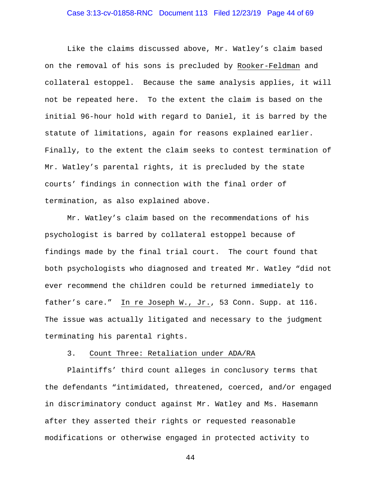## Case 3:13-cv-01858-RNC Document 113 Filed 12/23/19 Page 44 of 69

 Like the claims discussed above, Mr. Watley's claim based on the removal of his sons is precluded by Rooker-Feldman and collateral estoppel. Because the same analysis applies, it will not be repeated here. To the extent the claim is based on the initial 96-hour hold with regard to Daniel, it is barred by the statute of limitations, again for reasons explained earlier. Finally, to the extent the claim seeks to contest termination of Mr. Watley's parental rights, it is precluded by the state courts' findings in connection with the final order of termination, as also explained above.

Mr. Watley's claim based on the recommendations of his psychologist is barred by collateral estoppel because of findings made by the final trial court. The court found that both psychologists who diagnosed and treated Mr. Watley "did not ever recommend the children could be returned immediately to father's care." In re Joseph W., Jr., 53 Conn. Supp. at 116. The issue was actually litigated and necessary to the judgment terminating his parental rights.

#### 3. Count Three: Retaliation under ADA/RA

Plaintiffs' third count alleges in conclusory terms that the defendants "intimidated, threatened, coerced, and/or engaged in discriminatory conduct against Mr. Watley and Ms. Hasemann after they asserted their rights or requested reasonable modifications or otherwise engaged in protected activity to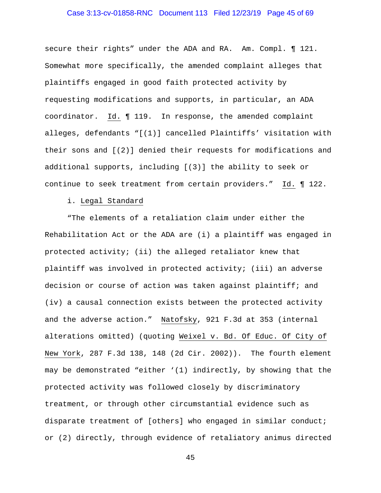## Case 3:13-cv-01858-RNC Document 113 Filed 12/23/19 Page 45 of 69

secure their rights" under the ADA and RA. Am. Compl. ¶ 121. Somewhat more specifically, the amended complaint alleges that plaintiffs engaged in good faith protected activity by requesting modifications and supports, in particular, an ADA coordinator. Id. ¶ 119. In response, the amended complaint alleges, defendants "[(1)] cancelled Plaintiffs' visitation with their sons and [(2)] denied their requests for modifications and additional supports, including [(3)] the ability to seek or continue to seek treatment from certain providers." Id. ¶ 122.

#### i. Legal Standard

"The elements of a retaliation claim under either the Rehabilitation Act or the ADA are (i) a plaintiff was engaged in protected activity; (ii) the alleged retaliator knew that plaintiff was involved in protected activity; (iii) an adverse decision or course of action was taken against plaintiff; and (iv) a causal connection exists between the protected activity and the adverse action." Natofsky, 921 F.3d at 353 (internal alterations omitted) (quoting Weixel v. Bd. Of Educ. Of City of New York, 287 F.3d 138, 148 (2d Cir. 2002)). The fourth element may be demonstrated "either '(1) indirectly, by showing that the protected activity was followed closely by discriminatory treatment, or through other circumstantial evidence such as disparate treatment of [others] who engaged in similar conduct; or (2) directly, through evidence of retaliatory animus directed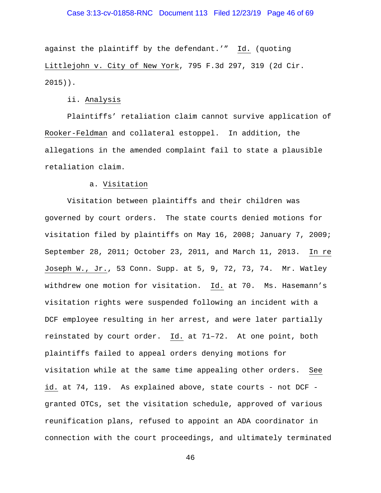## Case 3:13-cv-01858-RNC Document 113 Filed 12/23/19 Page 46 of 69

against the plaintiff by the defendant.'" Id. (quoting Littlejohn v. City of New York, 795 F.3d 297, 319 (2d Cir. 2015)).

### ii. Analysis

Plaintiffs' retaliation claim cannot survive application of Rooker-Feldman and collateral estoppel. In addition, the allegations in the amended complaint fail to state a plausible retaliation claim.

## a. Visitation

Visitation between plaintiffs and their children was governed by court orders. The state courts denied motions for visitation filed by plaintiffs on May 16, 2008; January 7, 2009; September 28, 2011; October 23, 2011, and March 11, 2013. In re Joseph W., Jr., 53 Conn. Supp. at 5, 9, 72, 73, 74. Mr. Watley withdrew one motion for visitation. Id. at 70. Ms. Hasemann's visitation rights were suspended following an incident with a DCF employee resulting in her arrest, and were later partially reinstated by court order. Id. at 71–72. At one point, both plaintiffs failed to appeal orders denying motions for visitation while at the same time appealing other orders. See id. at 74, 119. As explained above, state courts - not DCF granted OTCs, set the visitation schedule, approved of various reunification plans, refused to appoint an ADA coordinator in connection with the court proceedings, and ultimately terminated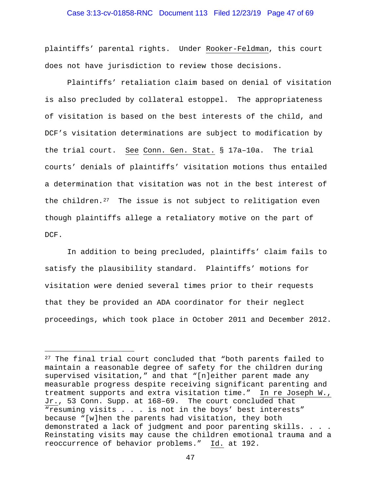## Case 3:13-cv-01858-RNC Document 113 Filed 12/23/19 Page 47 of 69

plaintiffs' parental rights. Under Rooker-Feldman, this court does not have jurisdiction to review those decisions.

Plaintiffs' retaliation claim based on denial of visitation is also precluded by collateral estoppel. The appropriateness of visitation is based on the best interests of the child, and DCF's visitation determinations are subject to modification by the trial court. See Conn. Gen. Stat. § 17a–10a. The trial courts' denials of plaintiffs' visitation motions thus entailed a determination that visitation was not in the best interest of the children.<sup>27</sup> The issue is not subject to relitigation even though plaintiffs allege a retaliatory motive on the part of DCF.

 In addition to being precluded, plaintiffs' claim fails to satisfy the plausibility standard. Plaintiffs' motions for visitation were denied several times prior to their requests that they be provided an ADA coordinator for their neglect proceedings, which took place in October 2011 and December 2012.

<span id="page-46-0"></span><sup>27</sup> The final trial court concluded that "both parents failed to maintain a reasonable degree of safety for the children during supervised visitation," and that "[n]either parent made any measurable progress despite receiving significant parenting and treatment supports and extra visitation time." In re Joseph W., Jr., 53 Conn. Supp. at 168–69. The court concluded that "resuming visits . . . is not in the boys' best interests" because "[w]hen the parents had visitation, they both demonstrated a lack of judgment and poor parenting skills. . . . Reinstating visits may cause the children emotional trauma and a reoccurrence of behavior problems." Id. at 192.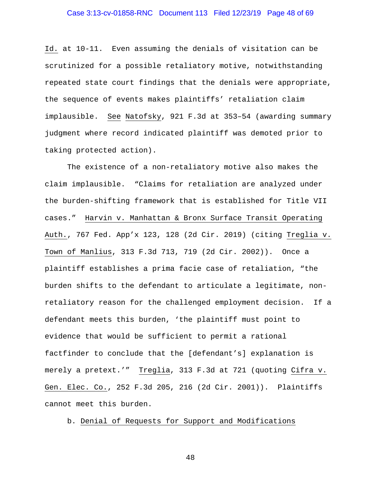## Case 3:13-cv-01858-RNC Document 113 Filed 12/23/19 Page 48 of 69

Id. at 10-11. Even assuming the denials of visitation can be scrutinized for a possible retaliatory motive, notwithstanding repeated state court findings that the denials were appropriate, the sequence of events makes plaintiffs' retaliation claim implausible. See Natofsky, 921 F.3d at 353–54 (awarding summary judgment where record indicated plaintiff was demoted prior to taking protected action).

The existence of a non-retaliatory motive also makes the claim implausible. "Claims for retaliation are analyzed under the burden-shifting framework that is established for Title VII cases." Harvin v. Manhattan & Bronx Surface Transit Operating Auth., 767 Fed. App'x 123, 128 (2d Cir. 2019) (citing Treglia v. Town of Manlius, 313 F.3d 713, 719 (2d Cir. 2002)). Once a plaintiff establishes a prima facie case of retaliation, "the burden shifts to the defendant to articulate a legitimate, nonretaliatory reason for the challenged employment decision. If a defendant meets this burden, 'the plaintiff must point to evidence that would be sufficient to permit a rational factfinder to conclude that the [defendant's] explanation is merely a pretext.'" Treglia, 313 F.3d at 721 (quoting Cifra v. Gen. Elec. Co., 252 F.3d 205, 216 (2d Cir. 2001)). Plaintiffs cannot meet this burden.

b. Denial of Requests for Support and Modifications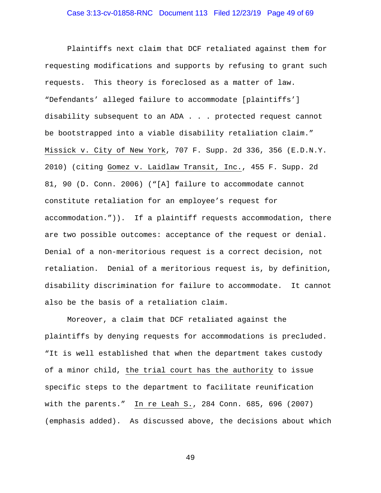Plaintiffs next claim that DCF retaliated against them for requesting modifications and supports by refusing to grant such requests. This theory is foreclosed as a matter of law. "Defendants' alleged failure to accommodate [plaintiffs'] disability subsequent to an ADA . . . protected request cannot be bootstrapped into a viable disability retaliation claim." Missick v. City of New York, 707 F. Supp. 2d 336, 356 (E.D.N.Y. 2010) (citing Gomez v. Laidlaw Transit, Inc., 455 F. Supp. 2d 81, 90 (D. Conn. 2006) ("[A] failure to accommodate cannot constitute retaliation for an employee's request for accommodation.")). If a plaintiff requests accommodation, there are two possible outcomes: acceptance of the request or denial. Denial of a non-meritorious request is a correct decision, not retaliation. Denial of a meritorious request is, by definition, disability discrimination for failure to accommodate. It cannot also be the basis of a retaliation claim.

Moreover, a claim that DCF retaliated against the plaintiffs by denying requests for accommodations is precluded. "It is well established that when the department takes custody of a minor child, the trial court has the authority to issue specific steps to the department to facilitate reunification with the parents." In re Leah S., 284 Conn. 685, 696 (2007) (emphasis added). As discussed above, the decisions about which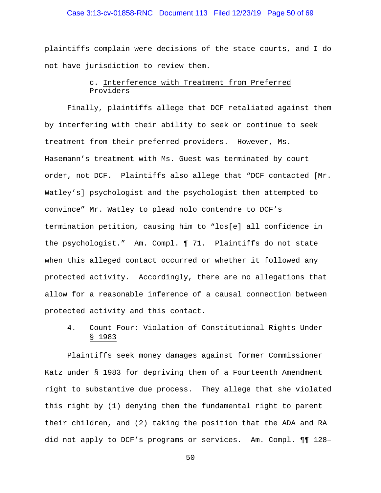## Case 3:13-cv-01858-RNC Document 113 Filed 12/23/19 Page 50 of 69

plaintiffs complain were decisions of the state courts, and I do not have jurisdiction to review them.

# c. Interference with Treatment from Preferred Providers

Finally, plaintiffs allege that DCF retaliated against them by interfering with their ability to seek or continue to seek treatment from their preferred providers. However, Ms. Hasemann's treatment with Ms. Guest was terminated by court order, not DCF. Plaintiffs also allege that "DCF contacted [Mr. Watley's] psychologist and the psychologist then attempted to convince" Mr. Watley to plead nolo contendre to DCF's termination petition, causing him to "los[e] all confidence in the psychologist." Am. Compl. ¶ 71. Plaintiffs do not state when this alleged contact occurred or whether it followed any protected activity. Accordingly, there are no allegations that allow for a reasonable inference of a causal connection between protected activity and this contact.

# 4. Count Four: Violation of Constitutional Rights Under § 1983

Plaintiffs seek money damages against former Commissioner Katz under § 1983 for depriving them of a Fourteenth Amendment right to substantive due process. They allege that she violated this right by (1) denying them the fundamental right to parent their children, and (2) taking the position that the ADA and RA did not apply to DCF's programs or services. Am. Compl. ¶¶ 128–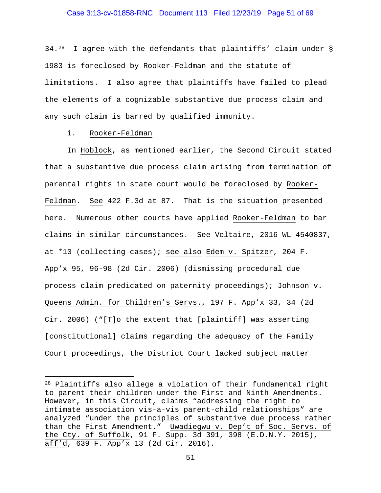### Case 3:13-cv-01858-RNC Document 113 Filed 12/23/19 Page 51 of 69

34.[28](#page-50-0) I agree with the defendants that plaintiffs' claim under § 1983 is foreclosed by Rooker-Feldman and the statute of limitations. I also agree that plaintiffs have failed to plead the elements of a cognizable substantive due process claim and any such claim is barred by qualified immunity.

#### i. Rooker-Feldman

ī

In Hoblock, as mentioned earlier, the Second Circuit stated that a substantive due process claim arising from termination of parental rights in state court would be foreclosed by Rooker-Feldman. See 422 F.3d at 87. That is the situation presented here. Numerous other courts have applied Rooker-Feldman to bar claims in similar circumstances. See Voltaire, 2016 WL 4540837, at \*10 (collecting cases); see also Edem v. Spitzer, 204 F. App'x 95, 96-98 (2d Cir. 2006) (dismissing procedural due process claim predicated on paternity proceedings); Johnson v. Queens Admin. for Children's Servs., 197 F. App'x 33, 34 (2d Cir. 2006) ("[T]o the extent that [plaintiff] was asserting [constitutional] claims regarding the adequacy of the Family Court proceedings, the District Court lacked subject matter

<span id="page-50-0"></span><sup>28</sup> Plaintiffs also allege a violation of their fundamental right to parent their children under the First and Ninth Amendments. However, in this Circuit, claims "addressing the right to intimate association vis-a-vis parent-child relationships" are analyzed "under the principles of substantive due process rather than the First Amendment." Uwadiegwu v. Dep't of Soc. Servs. of the Cty. of Suffolk, 91 F. Supp. 3d 391, 398 (E.D.N.Y. 2015), aff'd, 639 F. App'x 13 (2d Cir. 2016).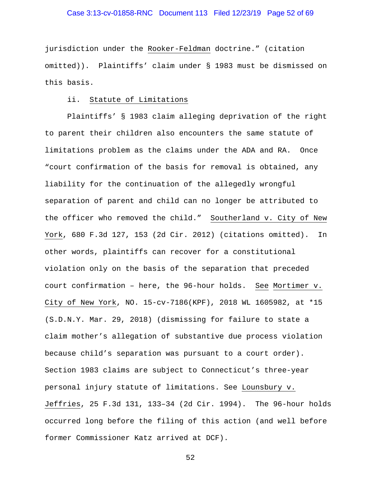## Case 3:13-cv-01858-RNC Document 113 Filed 12/23/19 Page 52 of 69

jurisdiction under the Rooker-Feldman doctrine." (citation omitted)). Plaintiffs' claim under § 1983 must be dismissed on this basis.

### ii. Statute of Limitations

Plaintiffs' § 1983 claim alleging deprivation of the right to parent their children also encounters the same statute of limitations problem as the claims under the ADA and RA. Once "court confirmation of the basis for removal is obtained, any liability for the continuation of the allegedly wrongful separation of parent and child can no longer be attributed to the officer who removed the child." Southerland v. City of New York, 680 F.3d 127, 153 (2d Cir. 2012) (citations omitted). In other words, plaintiffs can recover for a constitutional violation only on the basis of the separation that preceded court confirmation – here, the 96-hour holds. See Mortimer v. City of New York, NO. 15-cv-7186(KPF), 2018 WL 1605982, at \*15 (S.D.N.Y. Mar. 29, 2018) (dismissing for failure to state a claim mother's allegation of substantive due process violation because child's separation was pursuant to a court order). Section 1983 claims are subject to Connecticut's three-year personal injury statute of limitations. See Lounsbury v. Jeffries, 25 F.3d 131, 133–34 (2d Cir. 1994). The 96-hour holds occurred long before the filing of this action (and well before former Commissioner Katz arrived at DCF).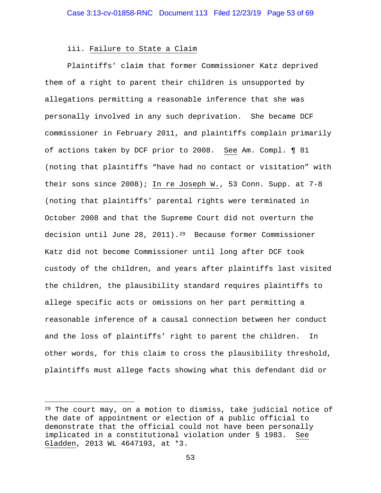## iii. Failure to State a Claim

Plaintiffs' claim that former Commissioner Katz deprived them of a right to parent their children is unsupported by allegations permitting a reasonable inference that she was personally involved in any such deprivation. She became DCF commissioner in February 2011, and plaintiffs complain primarily of actions taken by DCF prior to 2008. See Am. Compl. ¶ 81 (noting that plaintiffs "have had no contact or visitation" with their sons since 2008); In re Joseph W., 53 Conn. Supp. at 7-8 (noting that plaintiffs' parental rights were terminated in October 2008 and that the Supreme Court did not overturn the decision until June 28, 2011).<sup>29</sup> Because former Commissioner Katz did not become Commissioner until long after DCF took custody of the children, and years after plaintiffs last visited the children, the plausibility standard requires plaintiffs to allege specific acts or omissions on her part permitting a reasonable inference of a causal connection between her conduct and the loss of plaintiffs' right to parent the children. In other words, for this claim to cross the plausibility threshold, plaintiffs must allege facts showing what this defendant did or

<span id="page-52-0"></span><sup>29</sup> The court may, on a motion to dismiss, take judicial notice of the date of appointment or election of a public official to demonstrate that the official could not have been personally implicated in a constitutional violation under § 1983. See Gladden, 2013 WL 4647193, at \*3.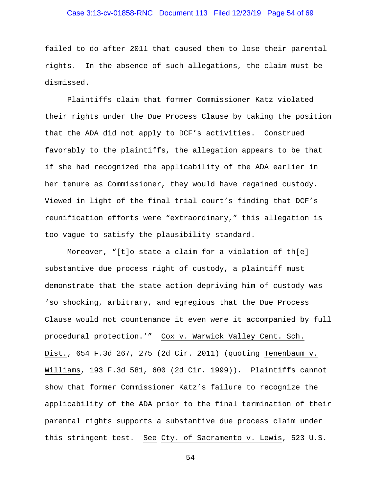## Case 3:13-cv-01858-RNC Document 113 Filed 12/23/19 Page 54 of 69

failed to do after 2011 that caused them to lose their parental rights. In the absence of such allegations, the claim must be dismissed.

Plaintiffs claim that former Commissioner Katz violated their rights under the Due Process Clause by taking the position that the ADA did not apply to DCF's activities. Construed favorably to the plaintiffs, the allegation appears to be that if she had recognized the applicability of the ADA earlier in her tenure as Commissioner, they would have regained custody. Viewed in light of the final trial court's finding that DCF's reunification efforts were "extraordinary," this allegation is too vague to satisfy the plausibility standard.

Moreover, "[t]o state a claim for a violation of th[e] substantive due process right of custody, a plaintiff must demonstrate that the state action depriving him of custody was 'so shocking, arbitrary, and egregious that the Due Process Clause would not countenance it even were it accompanied by full procedural protection.'" Cox v. Warwick Valley Cent. Sch. Dist., 654 F.3d 267, 275 (2d Cir. 2011) (quoting Tenenbaum v. Williams, 193 F.3d 581, 600 (2d Cir. 1999)). Plaintiffs cannot show that former Commissioner Katz's failure to recognize the applicability of the ADA prior to the final termination of their parental rights supports a substantive due process claim under this stringent test. See Cty. of Sacramento v. Lewis, 523 U.S.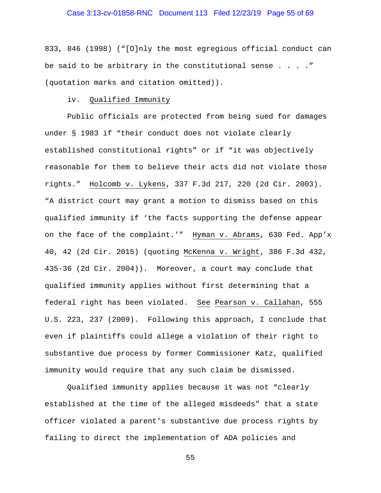## Case 3:13-cv-01858-RNC Document 113 Filed 12/23/19 Page 55 of 69

833, 846 (1998) ("[O]nly the most egregious official conduct can be said to be arbitrary in the constitutional sense  $\ldots$ ." (quotation marks and citation omitted)).

### iv. Qualified Immunity

Public officials are protected from being sued for damages under § 1983 if "their conduct does not violate clearly established constitutional rights" or if "it was objectively reasonable for them to believe their acts did not violate those rights." Holcomb v. Lykens, 337 F.3d 217, 220 (2d Cir. 2003). "A district court may grant a motion to dismiss based on this qualified immunity if 'the facts supporting the defense appear on the face of the complaint.'" Hyman v. Abrams, 630 Fed. App'x 40, 42 (2d Cir. 2015) (quoting McKenna v. Wright, 386 F.3d 432, 435-36 (2d Cir. 2004)). Moreover, a court may conclude that qualified immunity applies without first determining that a federal right has been violated. See Pearson v. Callahan, 555 U.S. 223, 237 (2009). Following this approach, I conclude that even if plaintiffs could allege a violation of their right to substantive due process by former Commissioner Katz, qualified immunity would require that any such claim be dismissed.

Qualified immunity applies because it was not "clearly established at the time of the alleged misdeeds" that a state officer violated a parent's substantive due process rights by failing to direct the implementation of ADA policies and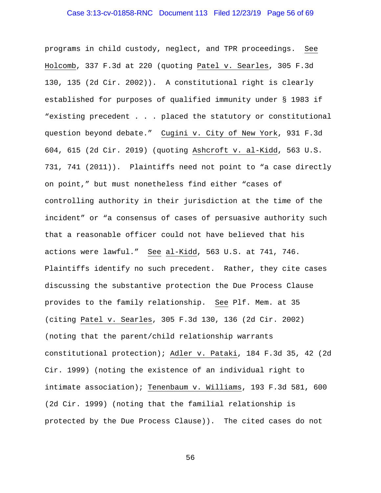## Case 3:13-cv-01858-RNC Document 113 Filed 12/23/19 Page 56 of 69

programs in child custody, neglect, and TPR proceedings. See Holcomb, 337 F.3d at 220 (quoting Patel v. Searles, 305 F.3d 130, 135 (2d Cir. 2002)). A constitutional right is clearly established for purposes of qualified immunity under § 1983 if "existing precedent . . . placed the statutory or constitutional question beyond debate." Cugini v. City of New York, 931 F.3d 604, 615 (2d Cir. 2019) (quoting Ashcroft v. al-Kidd, 563 U.S. 731, 741 (2011)). Plaintiffs need not point to "a case directly on point," but must nonetheless find either "cases of controlling authority in their jurisdiction at the time of the incident" or "a consensus of cases of persuasive authority such that a reasonable officer could not have believed that his actions were lawful." See al-Kidd, 563 U.S. at 741, 746. Plaintiffs identify no such precedent. Rather, they cite cases discussing the substantive protection the Due Process Clause provides to the family relationship. See Plf. Mem. at 35 (citing Patel v. Searles, 305 F.3d 130, 136 (2d Cir. 2002) (noting that the parent/child relationship warrants constitutional protection); Adler v. Pataki, 184 F.3d 35, 42 (2d Cir. 1999) (noting the existence of an individual right to intimate association); Tenenbaum v. Williams, 193 F.3d 581, 600 (2d Cir. 1999) (noting that the familial relationship is protected by the Due Process Clause)). The cited cases do not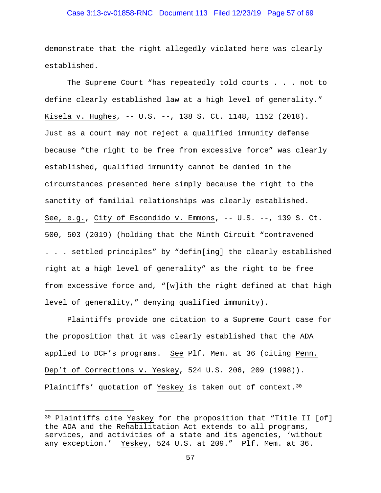## Case 3:13-cv-01858-RNC Document 113 Filed 12/23/19 Page 57 of 69

demonstrate that the right allegedly violated here was clearly established.

The Supreme Court "has repeatedly told courts . . . not to define clearly established law at a high level of generality." Kisela v. Hughes, -- U.S. --, 138 S. Ct. 1148, 1152 (2018). Just as a court may not reject a qualified immunity defense because "the right to be free from excessive force" was clearly established, qualified immunity cannot be denied in the circumstances presented here simply because the right to the sanctity of familial relationships was clearly established. See, e.g., City of Escondido v. Emmons, -- U.S. --, 139 S. Ct. 500, 503 (2019) (holding that the Ninth Circuit "contravened . . . settled principles" by "defin[ing] the clearly established right at a high level of generality" as the right to be free from excessive force and, "[w]ith the right defined at that high level of generality," denying qualified immunity).

Plaintiffs provide one citation to a Supreme Court case for the proposition that it was clearly established that the ADA applied to DCF's programs. See Plf. Mem. at 36 (citing Penn. Dep't of Corrections v. Yeskey, 524 U.S. 206, 209 (1998)). Plaintiffs' quotation of Yeskey is taken out of context.<sup>[30](#page-56-0)</sup>

<span id="page-56-0"></span><sup>&</sup>lt;sup>30</sup> Plaintiffs cite <u>Yeskey</u> for the proposition that "Title II [of] the ADA and the Rehabilitation Act extends to all programs, services, and activities of a state and its agencies, 'without any exception.' Yeskey, 524 U.S. at 209." Plf. Mem. at 36.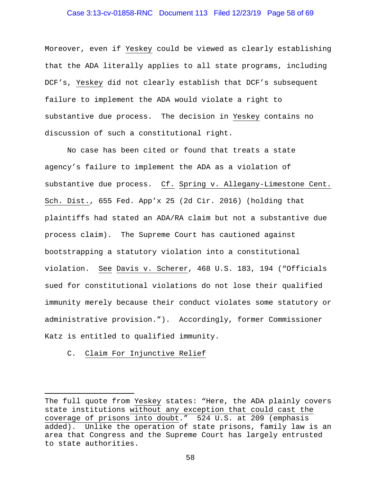## Case 3:13-cv-01858-RNC Document 113 Filed 12/23/19 Page 58 of 69

Moreover, even if Yeskey could be viewed as clearly establishing that the ADA literally applies to all state programs, including DCF's, Yeskey did not clearly establish that DCF's subsequent failure to implement the ADA would violate a right to substantive due process. The decision in Yeskey contains no discussion of such a constitutional right.

No case has been cited or found that treats a state agency's failure to implement the ADA as a violation of substantive due process. Cf. Spring v. Allegany-Limestone Cent. Sch. Dist., 655 Fed. App'x 25 (2d Cir. 2016) (holding that plaintiffs had stated an ADA/RA claim but not a substantive due process claim). The Supreme Court has cautioned against bootstrapping a statutory violation into a constitutional violation. See Davis v. Scherer, 468 U.S. 183, 194 ("Officials sued for constitutional violations do not lose their qualified immunity merely because their conduct violates some statutory or administrative provision."). Accordingly, former Commissioner Katz is entitled to qualified immunity.

### C. Claim For Injunctive Relief

The full quote from Yeskey states: "Here, the ADA plainly covers state institutions without any exception that could cast the coverage of prisons into doubt." 524 U.S. at 209 (emphasis added). Unlike the operation of state prisons, family law: Unlike the operation of state prisons, family law is an area that Congress and the Supreme Court has largely entrusted to state authorities.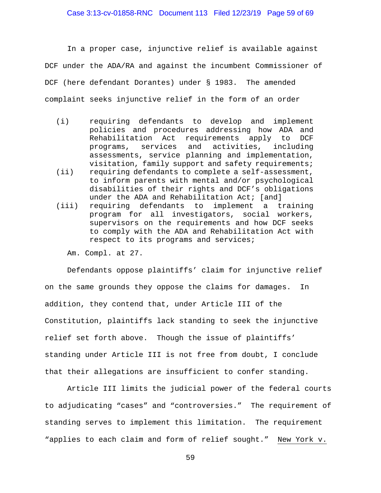In a proper case, injunctive relief is available against DCF under the ADA/RA and against the incumbent Commissioner of DCF (here defendant Dorantes) under § 1983. The amended complaint seeks injunctive relief in the form of an order

- (i) requiring defendants to develop and implement policies and procedures addressing how ADA and Rehabilitation Act requirements apply to DCF<br>programs, services and activities, including programs, services and assessments, service planning and implementation, visitation, family support and safety requirements;
- (ii) requiring defendants to complete a self-assessment, to inform parents with mental and/or psychological disabilities of their rights and DCF's obligations under the ADA and Rehabilitation Act; [and]
- (iii) requiring defendants to implement a training program for all investigators, social workers, supervisors on the requirements and how DCF seeks to comply with the ADA and Rehabilitation Act with respect to its programs and services;

Am. Compl. at 27.

Defendants oppose plaintiffs' claim for injunctive relief on the same grounds they oppose the claims for damages. In addition, they contend that, under Article III of the Constitution, plaintiffs lack standing to seek the injunctive relief set forth above. Though the issue of plaintiffs' standing under Article III is not free from doubt, I conclude that their allegations are insufficient to confer standing.

Article III limits the judicial power of the federal courts to adjudicating "cases" and "controversies." The requirement of standing serves to implement this limitation. The requirement "applies to each claim and form of relief sought." New York v.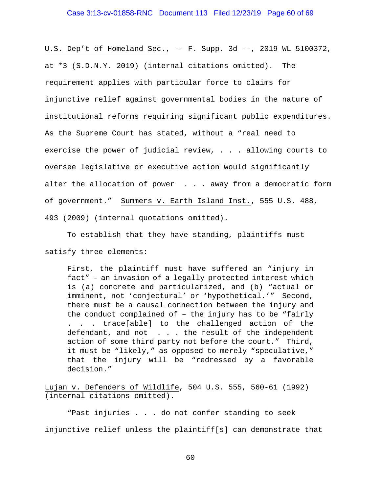U.S. Dep't of Homeland Sec., -- F. Supp. 3d --, 2019 WL 5100372, at \*3 (S.D.N.Y. 2019) (internal citations omitted). The requirement applies with particular force to claims for injunctive relief against governmental bodies in the nature of institutional reforms requiring significant public expenditures. As the Supreme Court has stated, without a "real need to exercise the power of judicial review, . . . allowing courts to oversee legislative or executive action would significantly alter the allocation of power . . . away from a democratic form of government." Summers v. Earth Island Inst., 555 U.S. 488, 493 (2009) (internal quotations omitted).

To establish that they have standing, plaintiffs must satisfy three elements:

First, the plaintiff must have suffered an "injury in fact" – an invasion of a legally protected interest which is (a) concrete and particularized, and (b) "actual or imminent, not 'conjectural' or 'hypothetical.'" Second, there must be a causal connection between the injury and the conduct complained of – the injury has to be "fairly . . . trace[able] to the challenged action of the defendant, and not . . . the result of the independent action of some third party not before the court." Third, it must be "likely," as opposed to merely "speculative," that the injury will be "redressed by a favorable decision."

Lujan v. Defenders of Wildlife, 504 U.S. 555, 560-61 (1992) (internal citations omitted).

"Past injuries . . . do not confer standing to seek injunctive relief unless the plaintiff[s] can demonstrate that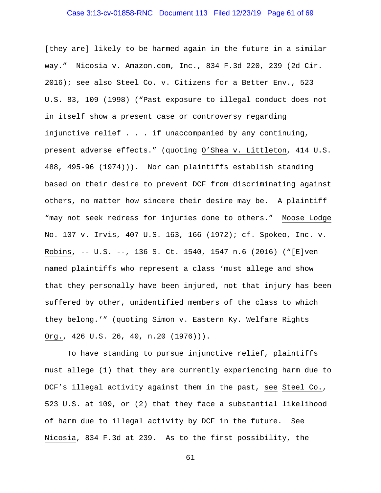## Case 3:13-cv-01858-RNC Document 113 Filed 12/23/19 Page 61 of 69

[they are] likely to be harmed again in the future in a similar way." Nicosia v. Amazon.com, Inc., 834 F.3d 220, 239 (2d Cir. 2016); see also Steel Co. v. Citizens for a Better Env., 523 U.S. 83, 109 (1998) ("Past exposure to illegal conduct does not in itself show a present case or controversy regarding injunctive relief . . . if unaccompanied by any continuing, present adverse effects." (quoting O'Shea v. Littleton, 414 U.S. 488, 495-96 (1974))). Nor can plaintiffs establish standing based on their desire to prevent DCF from discriminating against others, no matter how sincere their desire may be. A plaintiff "may not seek redress for injuries done to others." Moose Lodge No. 107 v. Irvis, 407 U.S. 163, 166 (1972); cf. Spokeo, Inc. v. Robins, -- U.S. --, 136 S. Ct. 1540, 1547 n.6 (2016) ("[E]ven named plaintiffs who represent a class 'must allege and show that they personally have been injured, not that injury has been suffered by other, unidentified members of the class to which they belong.'" (quoting Simon v. Eastern Ky. Welfare Rights Org., 426 U.S. 26, 40, n.20 (1976))).

To have standing to pursue injunctive relief, plaintiffs must allege (1) that they are currently experiencing harm due to DCF's illegal activity against them in the past, see Steel Co., 523 U.S. at 109, or (2) that they face a substantial likelihood of harm due to illegal activity by DCF in the future. See Nicosia, 834 F.3d at 239. As to the first possibility, the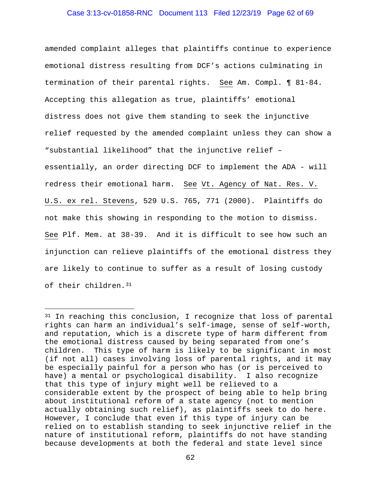### Case 3:13-cv-01858-RNC Document 113 Filed 12/23/19 Page 62 of 69

amended complaint alleges that plaintiffs continue to experience emotional distress resulting from DCF's actions culminating in termination of their parental rights. See Am. Compl. ¶ 81-84. Accepting this allegation as true, plaintiffs' emotional distress does not give them standing to seek the injunctive relief requested by the amended complaint unless they can show a "substantial likelihood" that the injunctive relief – essentially, an order directing DCF to implement the ADA - will redress their emotional harm. See Vt. Agency of Nat. Res. V. U.S. ex rel. Stevens, 529 U.S. 765, 771 (2000). Plaintiffs do not make this showing in responding to the motion to dismiss. See Plf. Mem. at 38-39. And it is difficult to see how such an injunction can relieve plaintiffs of the emotional distress they are likely to continue to suffer as a result of losing custody of their children.[31](#page-61-0)

<span id="page-61-0"></span><sup>&</sup>lt;sup>31</sup> In reaching this conclusion, I recognize that loss of parental rights can harm an individual's self-image, sense of self-worth, and reputation, which is a discrete type of harm different from the emotional distress caused by being separated from one's children. This type of harm is likely to be significant in most (if not all) cases involving loss of parental rights, and it may be especially painful for a person who has (or is perceived to have) a mental or psychological disability. I also recognize that this type of injury might well be relieved to a considerable extent by the prospect of being able to help bring about institutional reform of a state agency (not to mention actually obtaining such relief), as plaintiffs seek to do here. However, I conclude that even if this type of injury can be relied on to establish standing to seek injunctive relief in the nature of institutional reform, plaintiffs do not have standing because developments at both the federal and state level since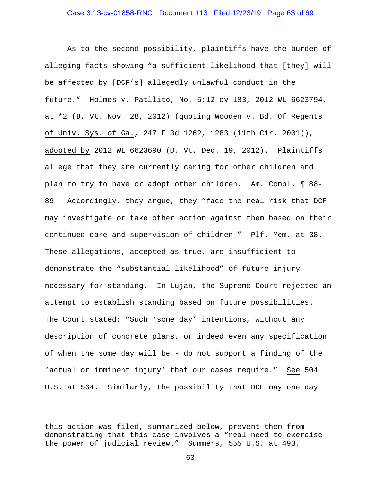## Case 3:13-cv-01858-RNC Document 113 Filed 12/23/19 Page 63 of 69

As to the second possibility, plaintiffs have the burden of alleging facts showing "a sufficient likelihood that [they] will be affected by [DCF's] allegedly unlawful conduct in the future." Holmes v. Patllito, No. 5:12-cv-183, 2012 WL 6623794, at \*2 (D. Vt. Nov. 28, 2012) (quoting Wooden v. Bd. Of Regents of Univ. Sys. of Ga., 247 F.3d 1262, 1283 (11th Cir. 2001)), adopted by 2012 WL 6623690 (D. Vt. Dec. 19, 2012). Plaintiffs allege that they are currently caring for other children and plan to try to have or adopt other children. Am. Compl. ¶ 88- 89. Accordingly, they argue, they "face the real risk that DCF may investigate or take other action against them based on their continued care and supervision of children." Plf. Mem. at 38. These allegations, accepted as true, are insufficient to demonstrate the "substantial likelihood" of future injury necessary for standing. In Lujan, the Supreme Court rejected an attempt to establish standing based on future possibilities. The Court stated: "Such 'some day' intentions, without any description of concrete plans, or indeed even any specification of when the some day will be - do not support a finding of the 'actual or imminent injury' that our cases require." See 504 U.S. at 564. Similarly, the possibility that DCF may one day

this action was filed, summarized below, prevent them from demonstrating that this case involves a "real need to exercise the power of judicial review." Summers, 555 U.S. at 493.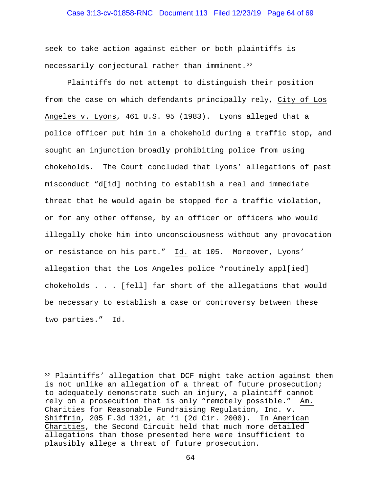### Case 3:13-cv-01858-RNC Document 113 Filed 12/23/19 Page 64 of 69

seek to take action against either or both plaintiffs is necessarily conjectural rather than imminent.<sup>32</sup>

Plaintiffs do not attempt to distinguish their position from the case on which defendants principally rely, City of Los Angeles v. Lyons, 461 U.S. 95 (1983). Lyons alleged that a police officer put him in a chokehold during a traffic stop, and sought an injunction broadly prohibiting police from using chokeholds. The Court concluded that Lyons' allegations of past misconduct "d[id] nothing to establish a real and immediate threat that he would again be stopped for a traffic violation, or for any other offense, by an officer or officers who would illegally choke him into unconsciousness without any provocation or resistance on his part." Id. at 105. Moreover, Lyons' allegation that the Los Angeles police "routinely appl[ied] chokeholds . . . [fell] far short of the allegations that would be necessary to establish a case or controversy between these two parties." Id.

<span id="page-63-0"></span><sup>32</sup> Plaintiffs' allegation that DCF might take action against them is not unlike an allegation of a threat of future prosecution; to adequately demonstrate such an injury, a plaintiff cannot rely on a prosecution that is only "remotely possible." Am. Charities for Reasonable Fundraising Regulation, Inc. v. Shiffrin, 205 F.3d 1321, at \*1 (2d Cir. 2000). In American Charities, the Second Circuit held that much more detailed allegations than those presented here were insufficient to plausibly allege a threat of future prosecution.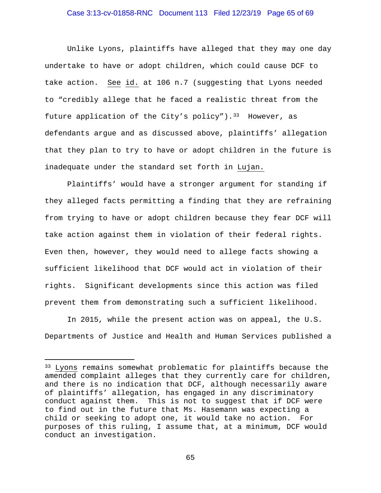## Case 3:13-cv-01858-RNC Document 113 Filed 12/23/19 Page 65 of 69

Unlike Lyons, plaintiffs have alleged that they may one day undertake to have or adopt children, which could cause DCF to take action. See id. at 106 n.7 (suggesting that Lyons needed to "credibly allege that he faced a realistic threat from the future application of the City's policy").  $33$  However, as defendants argue and as discussed above, plaintiffs' allegation that they plan to try to have or adopt children in the future is inadequate under the standard set forth in Lujan.

Plaintiffs' would have a stronger argument for standing if they alleged facts permitting a finding that they are refraining from trying to have or adopt children because they fear DCF will take action against them in violation of their federal rights. Even then, however, they would need to allege facts showing a sufficient likelihood that DCF would act in violation of their rights. Significant developments since this action was filed prevent them from demonstrating such a sufficient likelihood.

In 2015, while the present action was on appeal, the U.S. Departments of Justice and Health and Human Services published a

<span id="page-64-0"></span><sup>33</sup> Lyons remains somewhat problematic for plaintiffs because the amended complaint alleges that they currently care for children, and there is no indication that DCF, although necessarily aware of plaintiffs' allegation, has engaged in any discriminatory conduct against them. This is not to suggest that if DCF were to find out in the future that Ms. Hasemann was expecting a child or seeking to adopt one, it would take no action. For purposes of this ruling, I assume that, at a minimum, DCF would conduct an investigation.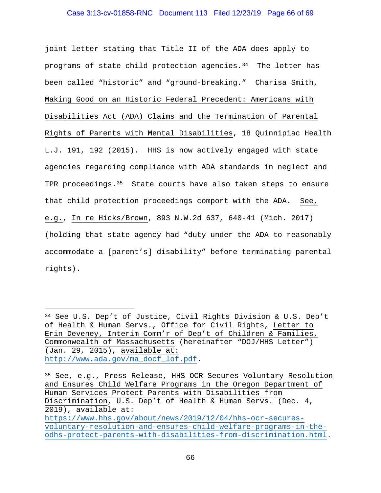### Case 3:13-cv-01858-RNC Document 113 Filed 12/23/19 Page 66 of 69

joint letter stating that Title II of the ADA does apply to programs of state child protection agencies. $34$  The letter has been called "historic" and "ground-breaking." Charisa Smith, Making Good on an Historic Federal Precedent: Americans with Disabilities Act (ADA) Claims and the Termination of Parental Rights of Parents with Mental Disabilities, 18 Quinnipiac Health L.J. 191, 192 (2015). HHS is now actively engaged with state agencies regarding compliance with ADA standards in neglect and TPR proceedings.<sup>[35](#page-65-1)</sup> State courts have also taken steps to ensure that child protection proceedings comport with the ADA. See, e.g., In re Hicks/Brown, 893 N.W.2d 637, 640-41 (Mich. 2017) (holding that state agency had "duty under the ADA to reasonably accommodate a [parent's] disability" before terminating parental rights).

<span id="page-65-0"></span>Ĩ.  $34$  See U.S. Dep't of Justice, Civil Rights Division & U.S. Dep't of Health & Human Servs., Office for Civil Rights, Letter to Erin Deveney, Interim Comm'r of Dep't of Children & Families, Commonwealth of Massachusetts (hereinafter "DOJ/HHS Letter") (Jan. 29, 2015), available at: [http://www.ada.gov/ma\\_docf\\_lof.pdf.](http://www.ada.gov/ma_docf_lof.pdf)

<span id="page-65-1"></span><sup>35</sup> See, e.g., Press Release, HHS OCR Secures Voluntary Resolution and Ensures Child Welfare Programs in the Oregon Department of Human Services Protect Parents with Disabilities from Discrimination, U.S. Dep't of Health & Human Servs. (Dec. 4, 2019), available at: [https://www.hhs.gov/about/news/2019/12/04/hhs-ocr-secures](https://www.hhs.gov/about/news/2019/12/04/hhs-ocr-secures-voluntary-resolution-and-ensures-child-welfare-programs-in-the-odhs-protect-parents-with-disabilities-from-discrimination.html)[voluntary-resolution-and-ensures-child-welfare-programs-in-the](https://www.hhs.gov/about/news/2019/12/04/hhs-ocr-secures-voluntary-resolution-and-ensures-child-welfare-programs-in-the-odhs-protect-parents-with-disabilities-from-discrimination.html)[odhs-protect-parents-with-disabilities-from-discrimination.html.](https://www.hhs.gov/about/news/2019/12/04/hhs-ocr-secures-voluntary-resolution-and-ensures-child-welfare-programs-in-the-odhs-protect-parents-with-disabilities-from-discrimination.html)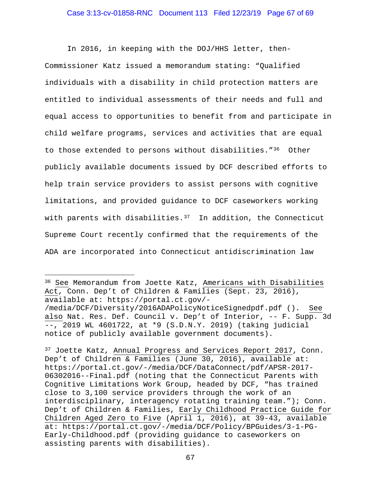### Case 3:13-cv-01858-RNC Document 113 Filed 12/23/19 Page 67 of 69

In 2016, in keeping with the DOJ/HHS letter, then-Commissioner Katz issued a memorandum stating: "Qualified individuals with a disability in child protection matters are entitled to individual assessments of their needs and full and equal access to opportunities to benefit from and participate in child welfare programs, services and activities that are equal to those extended to persons without disabilities."[36](#page-66-0) Other publicly available documents issued by DCF described efforts to help train service providers to assist persons with cognitive limitations, and provided guidance to DCF caseworkers working with parents with disabilities.<sup>[37](#page-66-1)</sup> In addition, the Connecticut Supreme Court recently confirmed that the requirements of the ADA are incorporated into Connecticut antidiscrimination law

<span id="page-66-0"></span>Ĩ. <sup>36</sup> <u>See</u> Memorandum from Joette Katz, <u>Americans with Disabilities</u> Act, Conn. Dep't of Children & Families (Sept. 23, 2016), available at: https://portal.ct.gov/- /media/DCF/Diversity/2016ADAPolicyNoticeSignedpdf.pdf (). See also Nat. Res. Def. Council v. Dep't of Interior, -- F. Supp. 3d --, 2019 WL 4601722, at \*9 (S.D.N.Y. 2019) (taking judicial notice of publicly available government documents).

<span id="page-66-1"></span><sup>37</sup> Joette Katz, Annual Progress and Services Report 2017, Conn. Dep't of Children & Families (June 30, 2016), available at: https://portal.ct.gov/-/media/DCF/DataConnect/pdf/APSR-2017- 06302016--Final.pdf (noting that the Connecticut Parents with Cognitive Limitations Work Group, headed by DCF, "has trained close to 3,100 service providers through the work of an interdisciplinary, interagency rotating training team."); Conn. Dep't of Children & Families, Early Childhood Practice Guide for Children Aged Zero to Five (April 1, 2016), at 39-43, available at: https://portal.ct.gov/-/media/DCF/Policy/BPGuides/3-1-PG-Early-Childhood.pdf (providing guidance to caseworkers on assisting parents with disabilities).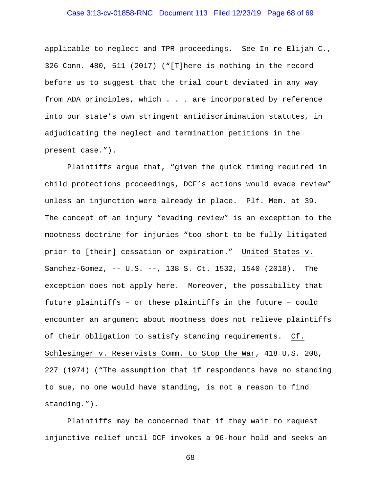## Case 3:13-cv-01858-RNC Document 113 Filed 12/23/19 Page 68 of 69

applicable to neglect and TPR proceedings. See In re Elijah C., 326 Conn. 480, 511 (2017) ("[T]here is nothing in the record before us to suggest that the trial court deviated in any way from ADA principles, which . . . are incorporated by reference into our state's own stringent antidiscrimination statutes, in adjudicating the neglect and termination petitions in the present case.").

Plaintiffs argue that, "given the quick timing required in child protections proceedings, DCF's actions would evade review" unless an injunction were already in place. Plf. Mem. at 39. The concept of an injury "evading review" is an exception to the mootness doctrine for injuries "too short to be fully litigated prior to [their] cessation or expiration." United States v. Sanchez-Gomez, -- U.S. --, 138 S. Ct. 1532, 1540 (2018). The exception does not apply here. Moreover, the possibility that future plaintiffs – or these plaintiffs in the future – could encounter an argument about mootness does not relieve plaintiffs of their obligation to satisfy standing requirements. Cf. Schlesinger v. Reservists Comm. to Stop the War, 418 U.S. 208, 227 (1974) ("The assumption that if respondents have no standing to sue, no one would have standing, is not a reason to find standing.").

Plaintiffs may be concerned that if they wait to request injunctive relief until DCF invokes a 96-hour hold and seeks an